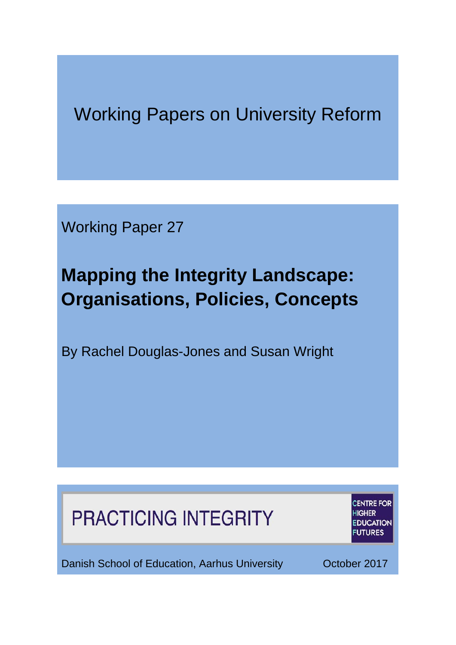## Working Papers on University Reform

Working Paper 27

# **Mapping the Integrity Landscape: Organisations, Policies, Concepts**

By Rachel Douglas-Jones and Susan Wright

# **PRACTICING INTEGRITY**

**CENTRE FOR HED DUCATION UTURES** 

Danish School of Education, Aarhus University **Cancel Control Control Control** Control October 2017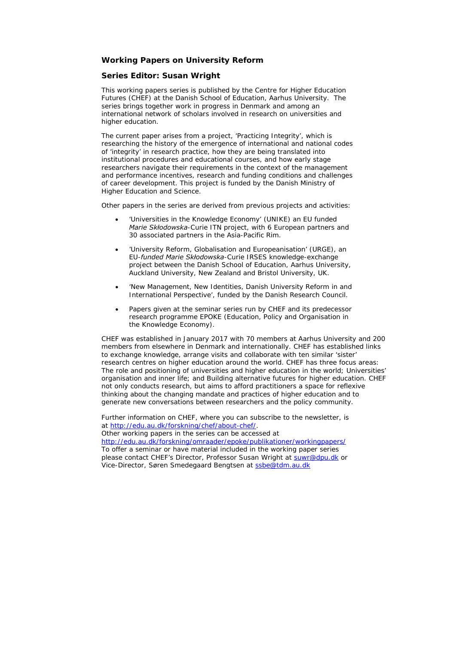#### *Working Papers on University Reform*

#### *Series Editor: Susan Wright*

*This working papers series is published by the Centre for Higher Education Futures (CHEF) at the Danish School of Education, Aarhus University. The series brings together work in progress in Denmark and among an international network of scholars involved in research on universities and higher education.* 

*The current paper arises from a project, 'Practicing Integrity', which is researching the history of the emergence of international and national codes of 'integrity' in research practice, how they are being translated into institutional procedures and educational courses, and how early stage researchers navigate their requirements in the context of the management and performance incentives, research and funding conditions and challenges of career development. This project is funded by the Danish Ministry of Higher Education and Science.*

*Other papers in the series are derived from previous projects and activities:*

- *'Universities in the Knowledge Economy' (UNIKE) an EU funded Marie Skłodowska-Curie ITN project, with 6 European partners and 30 associated partners in the Asia-Pacific Rim.*
- *'University Reform, Globalisation and Europeanisation' (URGE), an EU-funded Marie Skłodowska-Curie IRSES knowledge-exchange project between the Danish School of Education, Aarhus University, Auckland University, New Zealand and Bristol University, UK.*
- *'New Management, New Identities, Danish University Reform in and International Perspective', funded by the Danish Research Council.*
- *Papers given at the seminar series run by CHEF and its predecessor research programme EPOKE (Education, Policy and Organisation in the Knowledge Economy).*

*CHEF was established in January 2017 with 70 members at Aarhus University and 200 members from elsewhere in Denmark and internationally. CHEF has established links to exchange knowledge, arrange visits and collaborate with ten similar 'sister' research centres on higher education around the world. CHEF has three focus areas: The role and positioning of universities and higher education in the world; Universities' organisation and inner life; and Building alternative futures for higher education. CHEF not only conducts research, but aims to afford practitioners a space for reflexive thinking about the changing mandate and practices of higher education and to generate new conversations between researchers and the policy community.*

*Further information on CHEF, where you can subscribe to the newsletter, is at [http://edu.au.dk/forskning/chef/about-chef/.](http://edu.au.dk/forskning/chef/about-chef/) Other working papers in the series can be accessed at <http://edu.au.dk/forskning/omraader/epoke/publikationer/workingpapers/> To offer a seminar or have material included in the working paper series please contact CHEF's Director, Professor Susan Wright at [suwr@dpu.dk](mailto:suwr@dpu.dk) or Vice-Director, Søren Smedegaard Bengtsen at [ssbe@tdm.au.dk](mailto:ssbe@tdm.au.dk)*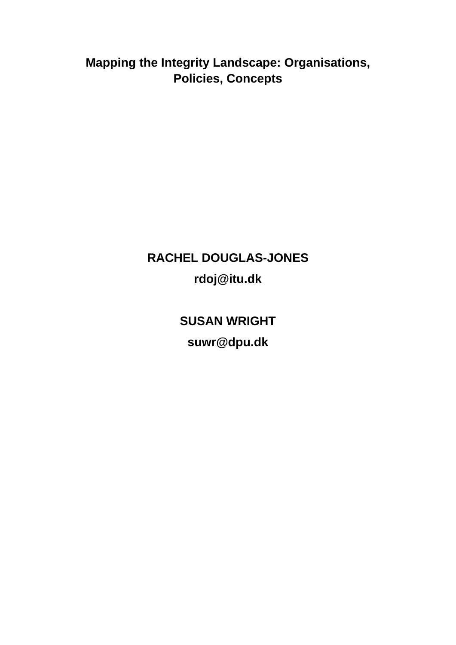**Mapping the Integrity Landscape: Organisations, Policies, Concepts**

## **RACHEL DOUGLAS-JONES rdoj@itu.dk**

**SUSAN WRIGHT suwr@dpu.dk**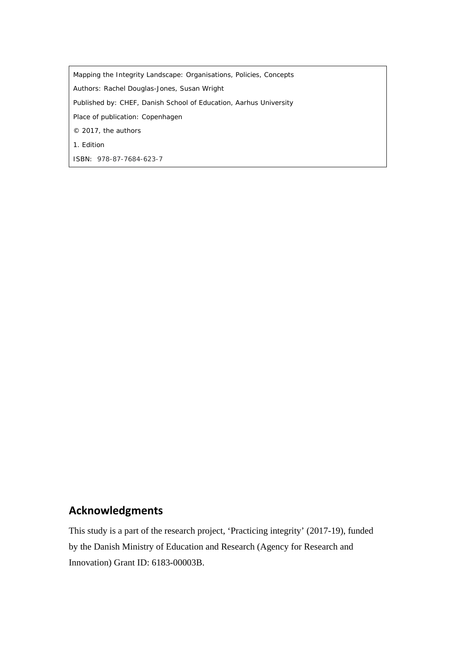*Mapping the Integrity Landscape: Organisations, Policies, Concepts* Authors: Rachel Douglas-Jones, Susan Wright Published by: CHEF, Danish School of Education, Aarhus University Place of publication: Copenhagen © 2017, the authors 1. Edition ISBN: 978-87-7684-623-7

### **Acknowledgments**

This study is a part of the research project, 'Practicing integrity' (2017-19), funded by the Danish Ministry of Education and Research (Agency for Research and Innovation) Grant ID: 6183-00003B.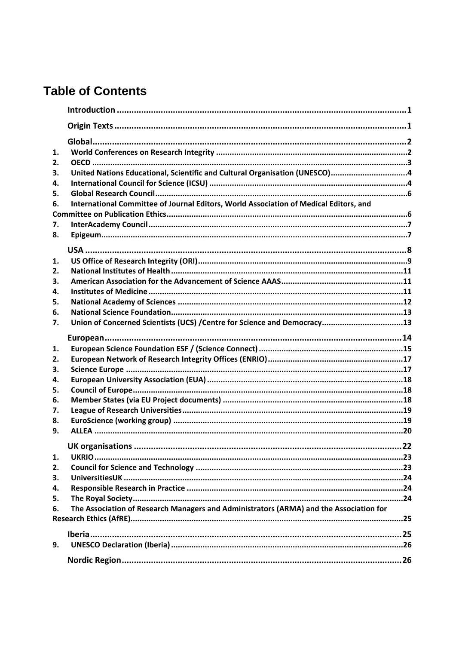## **Table of Contents**

| 1. |                                                                                        |    |  |  |  |  |
|----|----------------------------------------------------------------------------------------|----|--|--|--|--|
| 2. |                                                                                        |    |  |  |  |  |
| 3. | United Nations Educational, Scientific and Cultural Organisation (UNESCO)4             |    |  |  |  |  |
| 4. |                                                                                        |    |  |  |  |  |
| 5. |                                                                                        |    |  |  |  |  |
| 6. | International Committee of Journal Editors, World Association of Medical Editors, and  |    |  |  |  |  |
|    |                                                                                        |    |  |  |  |  |
| 7. |                                                                                        |    |  |  |  |  |
| 8. |                                                                                        |    |  |  |  |  |
|    |                                                                                        |    |  |  |  |  |
|    |                                                                                        |    |  |  |  |  |
| 1. |                                                                                        |    |  |  |  |  |
| 2. |                                                                                        |    |  |  |  |  |
| 3. |                                                                                        |    |  |  |  |  |
| 4. |                                                                                        |    |  |  |  |  |
| 5. |                                                                                        |    |  |  |  |  |
| 6. |                                                                                        |    |  |  |  |  |
| 7. | Union of Concerned Scientists (UCS) / Centre for Science and Democracy13               |    |  |  |  |  |
|    |                                                                                        |    |  |  |  |  |
|    |                                                                                        |    |  |  |  |  |
| 1. |                                                                                        |    |  |  |  |  |
| 2. |                                                                                        |    |  |  |  |  |
| З. |                                                                                        |    |  |  |  |  |
| 4. |                                                                                        |    |  |  |  |  |
| 5. |                                                                                        |    |  |  |  |  |
| 6. |                                                                                        |    |  |  |  |  |
| 7. |                                                                                        |    |  |  |  |  |
| 8. |                                                                                        |    |  |  |  |  |
| 9. |                                                                                        |    |  |  |  |  |
|    | <b>UK organisations</b>                                                                | 22 |  |  |  |  |
| 1. |                                                                                        |    |  |  |  |  |
| 2. |                                                                                        |    |  |  |  |  |
| З. |                                                                                        |    |  |  |  |  |
| 4. |                                                                                        |    |  |  |  |  |
| 5. |                                                                                        |    |  |  |  |  |
| 6. | The Association of Research Managers and Administrators (ARMA) and the Association for |    |  |  |  |  |
|    |                                                                                        |    |  |  |  |  |
|    |                                                                                        |    |  |  |  |  |
|    |                                                                                        |    |  |  |  |  |
| 9. |                                                                                        |    |  |  |  |  |
|    |                                                                                        |    |  |  |  |  |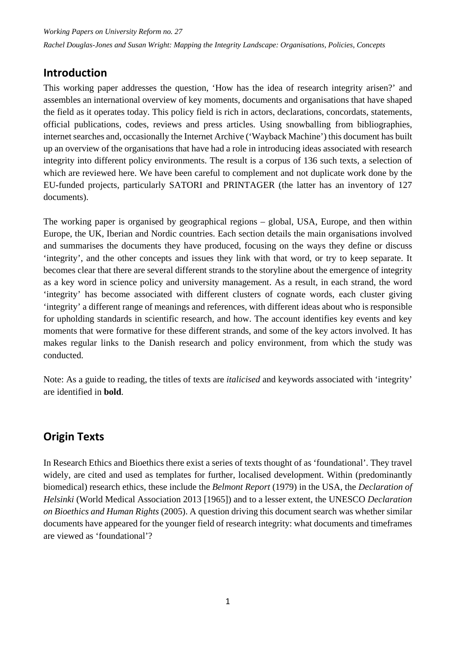## <span id="page-6-0"></span>**Introduction**

This working paper addresses the question, 'How has the idea of research integrity arisen?' and assembles an international overview of key moments, documents and organisations that have shaped the field as it operates today. This policy field is rich in actors, declarations, concordats, statements, official publications, codes, reviews and press articles. Using snowballing from bibliographies, internet searches and, occasionally the Internet Archive ('Wayback Machine') this document has built up an overview of the organisations that have had a role in introducing ideas associated with research integrity into different policy environments. The result is a corpus of 136 such texts, a selection of which are reviewed here. We have been careful to complement and not duplicate work done by the EU-funded projects, particularly SATORI and PRINTAGER (the latter has an inventory of 127 documents).

The working paper is organised by geographical regions – global, USA, Europe, and then within Europe, the UK, Iberian and Nordic countries. Each section details the main organisations involved and summarises the documents they have produced, focusing on the ways they define or discuss 'integrity', and the other concepts and issues they link with that word, or try to keep separate. It becomes clear that there are several different strands to the storyline about the emergence of integrity as a key word in science policy and university management. As a result, in each strand, the word 'integrity' has become associated with different clusters of cognate words, each cluster giving 'integrity' a different range of meanings and references, with different ideas about who is responsible for upholding standards in scientific research, and how. The account identifies key events and key moments that were formative for these different strands, and some of the key actors involved. It has makes regular links to the Danish research and policy environment, from which the study was conducted.

Note: As a guide to reading, the titles of texts are *italicised* and keywords associated with 'integrity' are identified in **bold**.

## <span id="page-6-1"></span>**Origin Texts**

In Research Ethics and Bioethics there exist a series of texts thought of as 'foundational'. They travel widely, are cited and used as templates for further, localised development. Within (predominantly biomedical) research ethics, these include the *Belmont Report* (1979) in the USA, the *Declaration of Helsinki* (World Medical Association 2013 [1965]) and to a lesser extent, the UNESCO *Declaration on Bioethics and Human Rights* (2005). A question driving this document search was whether similar documents have appeared for the younger field of research integrity: what documents and timeframes are viewed as 'foundational'?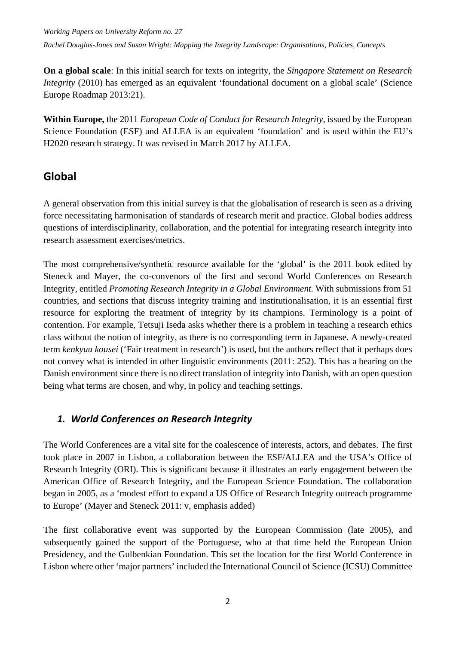*Working Papers on University Reform no. 27 Rachel Douglas-Jones and Susan Wright: Mapping the Integrity Landscape: Organisations, Policies, Concepts*

**On a global scale**: In this initial search for texts on integrity, the *Singapore Statement on Research Integrity* (2010) has emerged as an equivalent 'foundational document on a global scale' (Science Europe Roadmap 2013:21).

**Within Europe,** the 2011 *European Code of Conduct for Research Integrity*, issued by the European Science Foundation (ESF) and ALLEA is an equivalent 'foundation' and is used within the EU's H2020 research strategy. It was revised in March 2017 by ALLEA.

#### <span id="page-7-0"></span>**Global**

A general observation from this initial survey is that the globalisation of research is seen as a driving force necessitating harmonisation of standards of research merit and practice. Global bodies address questions of interdisciplinarity*,* collaboration*,* and the potential for integrating research integrity into research assessment exercises/metrics.

The most comprehensive/synthetic resource available for the 'global' is the 2011 book edited by Steneck and Mayer, the co-convenors of the first and second World Conferences on Research Integrity, entitled *Promoting Research Integrity in a Global Environment.* With submissions from 51 countries, and sections that discuss integrity training and institutionalisation, it is an essential first resource for exploring the treatment of integrity by its champions. Terminology is a point of contention. For example, Tetsuji Iseda asks whether there is a problem in teaching a research ethics class without the notion of integrity, as there is no corresponding term in Japanese. A newly-created term *kenkyuu kousei* ('Fair treatment in research') is used, but the authors reflect that it perhaps does not convey what is intended in other linguistic environments (2011: 252). This has a bearing on the Danish environment since there is no direct translation of integrity into Danish, with an open question being what terms are chosen, and why, in policy and teaching settings.

#### <span id="page-7-1"></span>*1. World Conferences on Research Integrity*

The World Conferences are a vital site for the coalescence of interests, actors, and debates. The first took place in 2007 in Lisbon, a collaboration between the ESF/ALLEA and the USA's Office of Research Integrity (ORI). This is significant because it illustrates an early engagement between the American Office of Research Integrity, and the European Science Foundation. The collaboration began in 2005, as a 'modest effort to expand a US Office of Research Integrity outreach programme to Europe' (Mayer and Steneck 2011: v, emphasis added)

The first collaborative event was supported by the European Commission (late 2005), and subsequently gained the support of the Portuguese, who at that time held the European Union Presidency, and the Gulbenkian Foundation. This set the location for the first World Conference in Lisbon where other 'major partners' included the International Council of Science (ICSU) Committee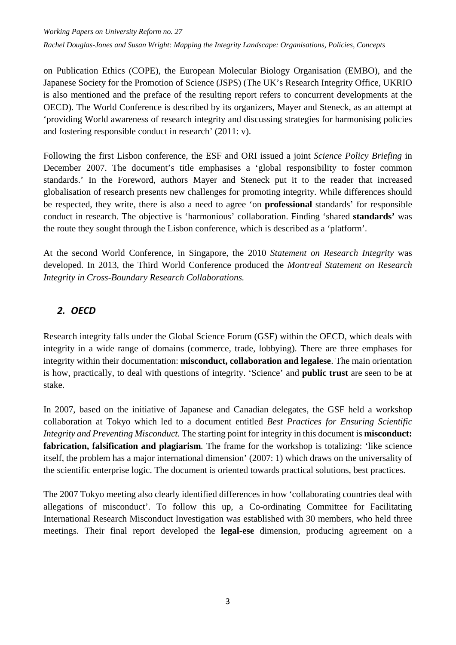*Working Papers on University Reform no. 27*

*Rachel Douglas-Jones and Susan Wright: Mapping the Integrity Landscape: Organisations, Policies, Concepts*

on Publication Ethics (COPE), the European Molecular Biology Organisation (EMBO), and the Japanese Society for the Promotion of Science (JSPS) (The UK's Research Integrity Office, UKRIO is also mentioned and the preface of the resulting report refers to concurrent developments at the OECD). The World Conference is described by its organizers, Mayer and Steneck, as an attempt at 'providing World awareness of research integrity and discussing strategies for harmonising policies and fostering responsible conduct in research' (2011: v).

Following the first Lisbon conference, the ESF and ORI issued a joint *Science Policy Briefing* in December 2007. The document's title emphasises a 'global responsibility to foster common standards.' In the Foreword, authors Mayer and Steneck put it to the reader that increased globalisation of research presents new challenges for promoting integrity. While differences should be respected, they write, there is also a need to agree 'on **professional** standards' for responsible conduct in research. The objective is 'harmonious' collaboration. Finding 'shared **standards'** was the route they sought through the Lisbon conference, which is described as a 'platform'.

At the second World Conference, in Singapore, the 2010 *Statement on Research Integrity* was developed. In 2013, the Third World Conference produced the *Montreal Statement on Research Integrity in Cross-Boundary Research Collaborations.*

#### <span id="page-8-0"></span>*2. OECD*

Research integrity falls under the Global Science Forum (GSF) within the OECD, which deals with integrity in a wide range of domains (commerce, trade, lobbying). There are three emphases for integrity within their documentation: **misconduct, collaboration and legalese**. The main orientation is how, practically, to deal with questions of integrity. 'Science' and **public trust** are seen to be at stake.

In 2007, based on the initiative of Japanese and Canadian delegates, the GSF held a workshop collaboration at Tokyo which led to a document entitled *Best Practices for Ensuring Scientific Integrity and Preventing Misconduct.* The starting point for integrity in this document is **misconduct: fabrication, falsification and plagiarism***.* The frame for the workshop is totalizing: 'like science itself, the problem has a major international dimension' (2007: 1) which draws on the universality of the scientific enterprise logic. The document is oriented towards practical solutions, best practices.

The 2007 Tokyo meeting also clearly identified differences in how 'collaborating countries deal with allegations of misconduct'. To follow this up, a Co-ordinating Committee for Facilitating International Research Misconduct Investigation was established with 30 members, who held three meetings. Their final report developed the **legal-ese** dimension, producing agreement on a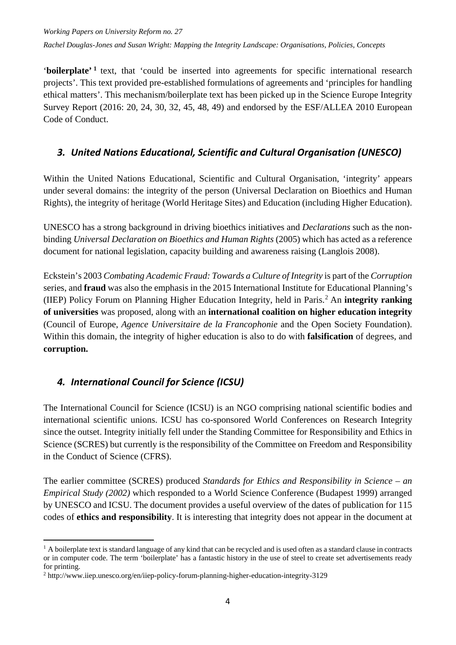'**boilerplate' [1](#page-9-2)** text, that 'could be inserted into agreements for specific international research projects'. This text provided pre-established formulations of agreements and 'principles for handling ethical matters'. This mechanism/boilerplate text has been picked up in the Science Europe Integrity Survey Report (2016: 20, 24, 30, 32, 45, 48, 49) and endorsed by the ESF/ALLEA 2010 European Code of Conduct.

#### <span id="page-9-0"></span>*3. United Nations Educational, Scientific and Cultural Organisation (UNESCO)*

Within the United Nations Educational, Scientific and Cultural Organisation, 'integrity' appears under several domains: the integrity of the person (Universal Declaration on Bioethics and Human Rights), the integrity of heritage (World Heritage Sites) and Education (including Higher Education).

UNESCO has a strong background in driving bioethics initiatives and *Declarations* such as the nonbinding *Universal Declaration on Bioethics and Human Rights* (2005) which has acted as a reference document for national legislation, capacity building and awareness raising (Langlois 2008).

Eckstein's 2003 *Combating Academic Fraud: Towards a Culture of Integrity* is part of the *Corruption*  series, and **fraud** was also the emphasis in the 2015 International Institute for Educational Planning's (IIEP) Policy Forum on Planning Higher Education Integrity, held in Paris.[2](#page-9-3) An **integrity ranking of universities** was proposed, along with an **international coalition on higher education integrity**  (Council of Europe, *Agence Universitaire de la Francophonie* and the Open Society Foundation). Within this domain, the integrity of higher education is also to do with **falsification** of degrees, and **corruption.** 

### <span id="page-9-1"></span>*4. International Council for Science (ICSU)*

The International Council for Science (ICSU) is an NGO comprising national scientific bodies and international scientific unions. ICSU has co-sponsored World Conferences on Research Integrity since the outset. Integrity initially fell under the Standing Committee for Responsibility and Ethics in Science (SCRES) but currently is the responsibility of the Committee on Freedom and Responsibility in the Conduct of Science (CFRS).

The earlier committee (SCRES) produced *Standards for Ethics and Responsibility in Science – an Empirical Study (2002)* which responded to a World Science Conference (Budapest 1999) arranged by UNESCO and ICSU. The document provides a useful overview of the dates of publication for 115 codes of **ethics and responsibility**. It is interesting that integrity does not appear in the document at

<span id="page-9-2"></span><sup>-</sup> $<sup>1</sup>$  A boilerplate text is standard language of any kind that can be recycled and is used often as a standard clause in contracts</sup> or in computer code. The term 'boilerplate' has a fantastic history in the use of steel to create set advertisements ready for printing.

<span id="page-9-3"></span><sup>2</sup> http://www.iiep.unesco.org/en/iiep-policy-forum-planning-higher-education-integrity-3129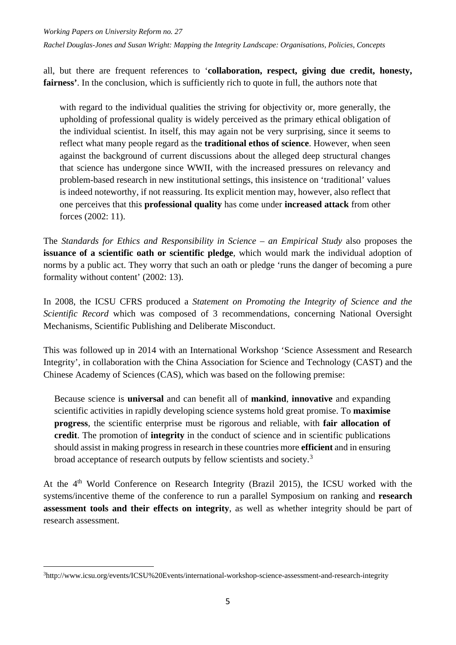all, but there are frequent references to '**collaboration, respect, giving due credit, honesty, fairness'**. In the conclusion, which is sufficiently rich to quote in full, the authors note that

with regard to the individual qualities the striving for objectivity or, more generally, the upholding of professional quality is widely perceived as the primary ethical obligation of the individual scientist. In itself, this may again not be very surprising, since it seems to reflect what many people regard as the **traditional ethos of science**. However, when seen against the background of current discussions about the alleged deep structural changes that science has undergone since WWII, with the increased pressures on relevancy and problem-based research in new institutional settings, this insistence on 'traditional' values is indeed noteworthy, if not reassuring. Its explicit mention may, however, also reflect that one perceives that this **professional quality** has come under **increased attack** from other forces (2002: 11).

The *Standards for Ethics and Responsibility in Science – an Empirical Study* also proposes the **issuance of a scientific oath or scientific pledge**, which would mark the individual adoption of norms by a public act. They worry that such an oath or pledge 'runs the danger of becoming a pure formality without content' (2002: 13).

In 2008, the ICSU CFRS produced a *Statement on Promoting the Integrity of Science and the Scientific Record* which was composed of 3 recommendations, concerning National Oversight Mechanisms, Scientific Publishing and Deliberate Misconduct.

This was followed up in 2014 with an International Workshop 'Science Assessment and Research Integrity', in collaboration with the China Association for Science and Technology (CAST) and the Chinese Academy of Sciences (CAS), which was based on the following premise:

Because science is **universal** and can benefit all of **mankind**, **innovative** and expanding scientific activities in rapidly developing science systems hold great promise. To **maximise progress**, the scientific enterprise must be rigorous and reliable, with **fair allocation of credit**. The promotion of **integrity** in the conduct of science and in scientific publications should assist in making progress in research in these countries more **efficient** and in ensuring broad acceptance of research outputs by fellow scientists and society.<sup>[3](#page-10-0)</sup>

At the 4<sup>th</sup> World Conference on Research Integrity (Brazil 2015), the ICSU worked with the systems/incentive theme of the conference to run a parallel Symposium on ranking and **research assessment tools and their effects on integrity**, as well as whether integrity should be part of research assessment.

<span id="page-10-0"></span><sup>-</sup>3 http://www.icsu.org/events/ICSU%20Events/international-workshop-science-assessment-and-research-integrity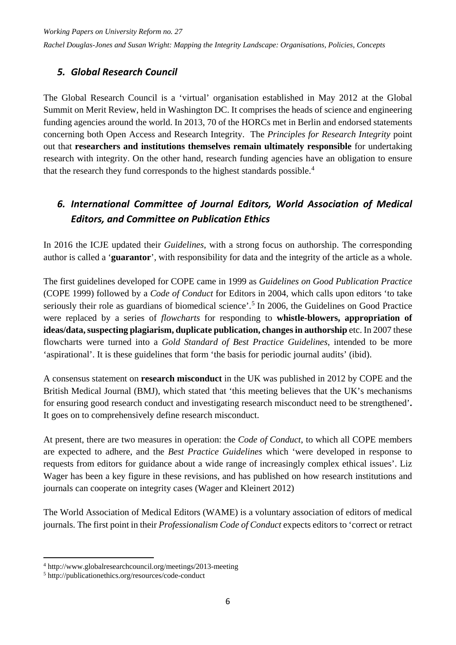#### <span id="page-11-0"></span>*5. Global Research Council*

The Global Research Council is a 'virtual' organisation established in May 2012 at the Global Summit on Merit Review, held in Washington DC. It comprises the heads of science and engineering funding agencies around the world. In 2013, 70 of the HORCs met in Berlin and endorsed statements concerning both Open Access and Research Integrity. The *Principles for Research Integrity* point out that **researchers and institutions themselves remain ultimately responsible** for undertaking research with integrity. On the other hand, research funding agencies have an obligation to ensure that the research they fund corresponds to the highest standards possible. [4](#page-11-2)

### <span id="page-11-1"></span>*6. International Committee of Journal Editors, World Association of Medical Editors, and Committee on Publication Ethics*

In 2016 the ICJE updated their *Guidelines*, with a strong focus on authorship. The corresponding author is called a '**guarantor**', with responsibility for data and the integrity of the article as a whole.

The first guidelines developed for COPE came in 1999 as *Guidelines on Good Publication Practice* (COPE 1999) followed by a *Code of Conduct* for Editors in 2004, which calls upon editors 'to take seriously their role as guardians of biomedical science'.<sup>[5](#page-11-3)</sup> In 2006, the Guidelines on Good Practice were replaced by a series of *flowcharts* for responding to **whistle-blowers, appropriation of ideas/data, suspecting plagiarism, duplicate publication, changes in authorship** etc. In 2007 these flowcharts were turned into a *Gold Standard of Best Practice Guidelines*, intended to be more 'aspirational'. It is these guidelines that form 'the basis for periodic journal audits' (ibid).

A consensus statement on **research misconduct** in the UK was published in 2012 by COPE and the British Medical Journal (BMJ), which stated that 'this meeting believes that the UK's mechanisms for ensuring good research conduct and investigating research misconduct need to be strengthened'**.**  It goes on to comprehensively define research misconduct.

At present, there are two measures in operation: the *Code of Conduct*, to which all COPE members are expected to adhere, and the *Best Practice Guidelines* which 'were developed in response to requests from editors for guidance about a wide range of increasingly complex ethical issues'. Liz Wager has been a key figure in these revisions, and has published on how research institutions and journals can cooperate on integrity cases (Wager and Kleinert 2012)

The World Association of Medical Editors (WAME) is a voluntary association of editors of medical journals. The first point in their *Professionalism Code of Conduct* expects editors to 'correct or retract

1

<span id="page-11-2"></span><sup>4</sup> http://www.globalresearchcouncil.org/meetings/2013-meeting

<span id="page-11-3"></span><sup>5</sup> http://publicationethics.org/resources/code-conduct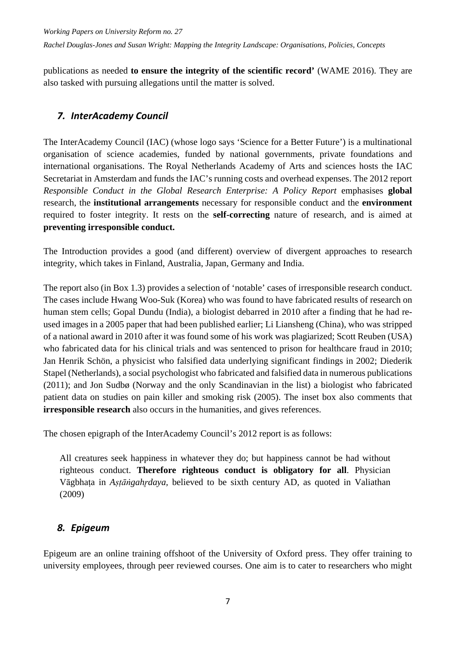publications as needed **to ensure the integrity of the scientific record'** (WAME 2016). They are also tasked with pursuing allegations until the matter is solved.

#### <span id="page-12-0"></span>*7. InterAcademy Council*

The InterAcademy Council (IAC) (whose logo says 'Science for a Better Future') is a multinational organisation of science academies, funded by national governments, private foundations and international organisations. The Royal Netherlands Academy of Arts and sciences hosts the IAC Secretariat in Amsterdam and funds the IAC's running costs and overhead expenses. The 2012 report *Responsible Conduct in the Global Research Enterprise: A Policy Report emphasises global* research, the **institutional arrangements** necessary for responsible conduct and the **environment**  required to foster integrity. It rests on the **self-correcting** nature of research, and is aimed at **preventing irresponsible conduct.** 

The Introduction provides a good (and different) overview of divergent approaches to research integrity, which takes in Finland, Australia, Japan, Germany and India.

The report also (in Box 1.3) provides a selection of 'notable' cases of irresponsible research conduct. The cases include Hwang Woo-Suk (Korea) who was found to have fabricated results of research on human stem cells; Gopal Dundu (India), a biologist debarred in 2010 after a finding that he had reused images in a 2005 paper that had been published earlier; Li Liansheng (China), who was stripped of a national award in 2010 after it was found some of his work was plagiarized; Scott Reuben (USA) who fabricated data for his clinical trials and was sentenced to prison for healthcare fraud in 2010; Jan Henrik Schön, a physicist who falsified data underlying significant findings in 2002; Diederik Stapel (Netherlands), a social psychologist who fabricated and falsified data in numerous publications (2011); and Jon Sudbø (Norway and the only Scandinavian in the list) a biologist who fabricated patient data on studies on pain killer and smoking risk (2005). The inset box also comments that **irresponsible research** also occurs in the humanities, and gives references.

The chosen epigraph of the InterAcademy Council's 2012 report is as follows:

All creatures seek happiness in whatever they do; but happiness cannot be had without righteous conduct. **Therefore righteous conduct is obligatory for all**. Physician Vāgbhata in *Aṣṭāṅṣahr̥daya*, believed to be sixth century AD, as quoted in Valiathan (2009)

#### <span id="page-12-1"></span>*8. Epigeum*

Epigeum are an online training offshoot of the University of Oxford press. They offer training to university employees, through peer reviewed courses. One aim is to cater to researchers who might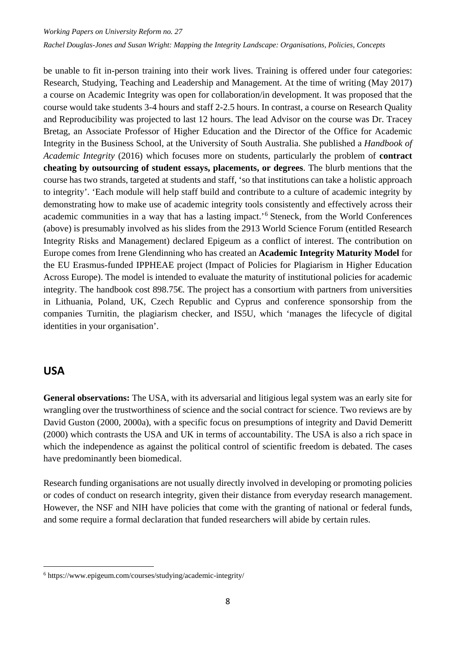be unable to fit in-person training into their work lives. Training is offered under four categories: Research, Studying, Teaching and Leadership and Management. At the time of writing (May 2017) a course on Academic Integrity was open for collaboration/in development. It was proposed that the course would take students 3-4 hours and staff 2-2.5 hours. In contrast, a course on Research Quality and Reproducibility was projected to last 12 hours. The lead Advisor on the course was Dr. Tracey Bretag, an Associate Professor of Higher Education and the Director of the Office for Academic Integrity in the Business School, at the University of South Australia. She published a *Handbook of Academic Integrity* (2016) which focuses more on students, particularly the problem of **contract cheating by outsourcing of student essays, placements, or degrees**. The blurb mentions that the course has two strands, targeted at students and staff, 'so that institutions can take a holistic approach to integrity'. 'Each module will help staff build and contribute to a culture of academic integrity by demonstrating how to make use of academic integrity tools consistently and effectively across their academic communities in a way that has a lasting impact.' [6](#page-13-1) Steneck, from the World Conferences (above) is presumably involved as his slides from the 2913 World Science Forum (entitled Research Integrity Risks and Management) declared Epigeum as a conflict of interest. The contribution on Europe comes from Irene Glendinning who has created an **Academic Integrity Maturity Model** for the EU Erasmus-funded IPPHEAE project (Impact of Policies for Plagiarism in Higher Education Across Europe). The model is intended to evaluate the maturity of institutional policies for academic integrity. The handbook cost 898.75€. The project has a consortium with partners from universities in Lithuania, Poland, UK, Czech Republic and Cyprus and conference sponsorship from the companies Turnitin, the plagiarism checker, and IS5U, which 'manages the lifecycle of digital identities in your organisation'.

#### <span id="page-13-0"></span>**USA**

-

**General observations:** The USA, with its adversarial and litigious legal system was an early site for wrangling over the trustworthiness of science and the social contract for science. Two reviews are by David Guston (2000, 2000a), with a specific focus on presumptions of integrity and David Demeritt (2000) which contrasts the USA and UK in terms of accountability. The USA is also a rich space in which the independence as against the political control of scientific freedom is debated. The cases have predominantly been biomedical.

Research funding organisations are not usually directly involved in developing or promoting policies or codes of conduct on research integrity, given their distance from everyday research management. However, the NSF and NIH have policies that come with the granting of national or federal funds, and some require a formal declaration that funded researchers will abide by certain rules.

<span id="page-13-1"></span><sup>6</sup> https://www.epigeum.com/courses/studying/academic-integrity/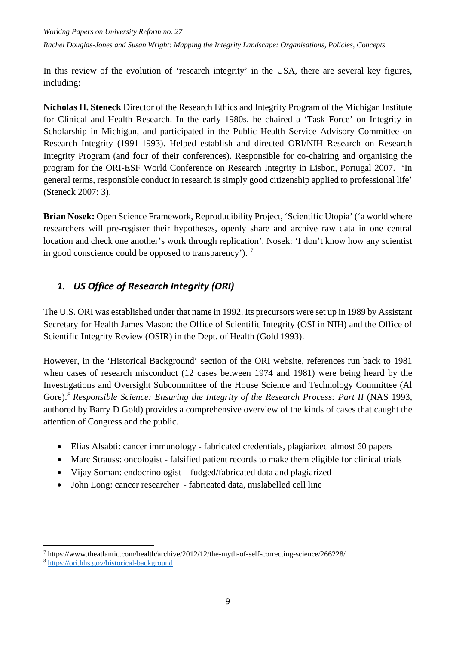*Working Papers on University Reform no. 27 Rachel Douglas-Jones and Susan Wright: Mapping the Integrity Landscape: Organisations, Policies, Concepts*

In this review of the evolution of 'research integrity' in the USA, there are several key figures, including:

**Nicholas H. Steneck** Director of the Research Ethics and Integrity Program of the Michigan Institute for Clinical and Health Research. In the early 1980s, he chaired a 'Task Force' on Integrity in Scholarship in Michigan, and participated in the Public Health Service Advisory Committee on Research Integrity (1991-1993). Helped establish and directed ORI/NIH Research on Research Integrity Program (and four of their conferences). Responsible for co-chairing and organising the program for the ORI-ESF World Conference on Research Integrity in Lisbon, Portugal 2007. 'In general terms, responsible conduct in research is simply good citizenship applied to professional life' (Steneck 2007: 3).

**Brian Nosek:** Open Science Framework, Reproducibility Project, 'Scientific Utopia' ('a world where researchers will pre-register their hypotheses, openly share and archive raw data in one central location and check one another's work through replication'. Nosek: 'I don't know how any scientist in good conscience could be opposed to transparency'). [7](#page-14-1)

#### <span id="page-14-0"></span>*1. US Office of Research Integrity (ORI)*

The U.S. ORI was established under that name in 1992. Its precursors were set up in 1989 by Assistant Secretary for Health James Mason: the Office of Scientific Integrity (OSI in NIH) and the Office of Scientific Integrity Review (OSIR) in the Dept. of Health (Gold 1993).

However, in the 'Historical Background' section of the ORI website, references run back to 1981 when cases of research misconduct (12 cases between 1974 and 1981) were being heard by the Investigations and Oversight Subcommittee of the House Science and Technology Committee (Al Gore).<sup>[8](#page-14-2)</sup> Responsible Science: Ensuring the Integrity of the Research Process: Part II (NAS 1993, authored by Barry D Gold) provides a comprehensive overview of the kinds of cases that caught the attention of Congress and the public.

- Elias Alsabti: cancer immunology fabricated credentials, plagiarized almost 60 papers
- Marc Strauss: oncologist falsified patient records to make them eligible for clinical trials
- Vijay Soman: endocrinologist fudged/fabricated data and plagiarized
- John Long: cancer researcher fabricated data, mislabelled cell line

<span id="page-14-1"></span><sup>-</sup><sup>7</sup> https://www.theatlantic.com/health/archive/2012/12/the-myth-of-self-correcting-science/266228/

<span id="page-14-2"></span><sup>8</sup> <https://ori.hhs.gov/historical-background>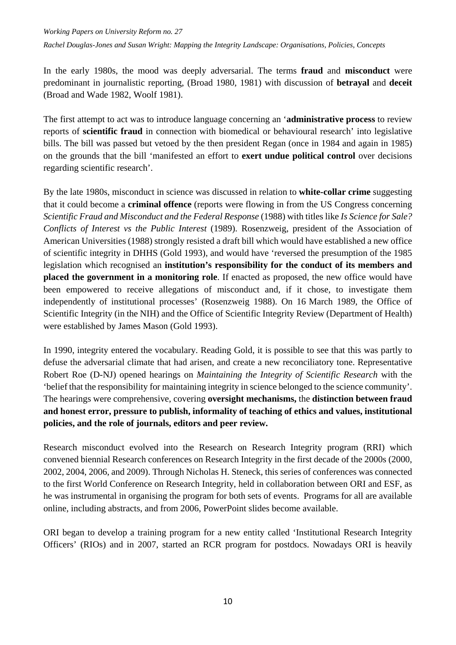In the early 1980s, the mood was deeply adversarial. The terms **fraud** and **misconduct** were predominant in journalistic reporting, (Broad 1980, 1981) with discussion of **betrayal** and **deceit** (Broad and Wade 1982, Woolf 1981).

The first attempt to act was to introduce language concerning an '**administrative process** to review reports of **scientific fraud** in connection with biomedical or behavioural research' into legislative bills. The bill was passed but vetoed by the then president Regan (once in 1984 and again in 1985) on the grounds that the bill 'manifested an effort to **exert undue political control** over decisions regarding scientific research'.

By the late 1980s, misconduct in science was discussed in relation to **white-collar crime** suggesting that it could become a **criminal offence** (reports were flowing in from the US Congress concerning *Scientific Fraud and Misconduct and the Federal Response* (1988) with titles like *Is Science for Sale? Conflicts of Interest vs the Public Interest* (1989). Rosenzweig, president of the Association of American Universities (1988) strongly resisted a draft bill which would have established a new office of scientific integrity in DHHS (Gold 1993), and would have 'reversed the presumption of the 1985 legislation which recognised an **institution's responsibility for the conduct of its members and placed the government in a monitoring role**. If enacted as proposed, the new office would have been empowered to receive allegations of misconduct and, if it chose, to investigate them independently of institutional processes' (Rosenzweig 1988). On 16 March 1989, the Office of Scientific Integrity (in the NIH) and the Office of Scientific Integrity Review (Department of Health) were established by James Mason (Gold 1993).

In 1990, integrity entered the vocabulary. Reading Gold, it is possible to see that this was partly to defuse the adversarial climate that had arisen, and create a new reconciliatory tone. Representative Robert Roe (D-NJ) opened hearings on *Maintaining the Integrity of Scientific Research* with the 'belief that the responsibility for maintaining integrity in science belonged to the science community'. The hearings were comprehensive, covering **oversight mechanisms,** the **distinction between fraud and honest error, pressure to publish, informality of teaching of ethics and values, institutional policies, and the role of journals, editors and peer review.** 

Research misconduct evolved into the Research on Research Integrity program (RRI) which convened biennial Research conferences on Research Integrity in the first decade of the 2000s (2000, 2002, 2004, 2006, and 2009). Through Nicholas H. Steneck, this series of conferences was connected to the first World Conference on Research Integrity, held in collaboration between ORI and ESF, as he was instrumental in organising the program for both sets of events. Programs for all are available online, including abstracts, and from 2006, PowerPoint slides become available.

ORI began to develop a training program for a new entity called 'Institutional Research Integrity Officers' (RIOs) and in 2007, started an RCR program for postdocs. Nowadays ORI is heavily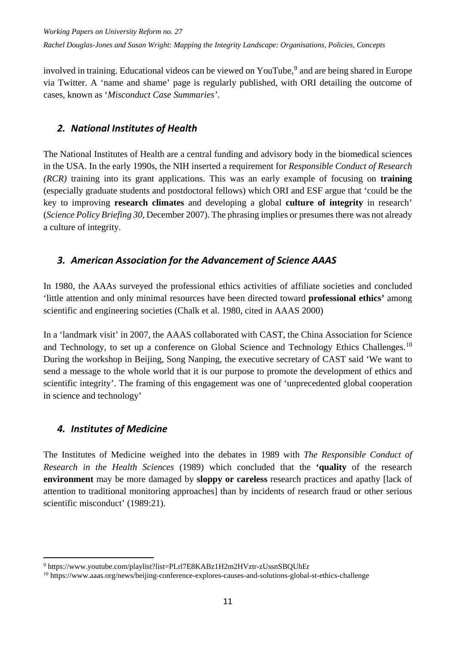involved in training. Educational videos can be viewed on YouTube, [9](#page-16-3) and are being shared in Europe via Twitter. A 'name and shame' page is regularly published, with ORI detailing the outcome of cases, known as '*Misconduct Case Summaries'*.

#### <span id="page-16-0"></span>*2. National Institutes of Health*

The National Institutes of Health are a central funding and advisory body in the biomedical sciences in the USA. In the early 1990s, the NIH inserted a requirement for *Responsible Conduct of Research (RCR)* training into its grant applications. This was an early example of focusing on **training** (especially graduate students and postdoctoral fellows) which ORI and ESF argue that 'could be the key to improving **research climates** and developing a global **culture of integrity** in research' (*Science Policy Briefing 30*, December 2007). The phrasing implies or presumes there was not already a culture of integrity.

#### <span id="page-16-1"></span>*3. American Association for the Advancement of Science AAAS*

In 1980, the AAAs surveyed the professional ethics activities of affiliate societies and concluded 'little attention and only minimal resources have been directed toward **professional ethics'** among scientific and engineering societies (Chalk et al. 1980, cited in AAAS 2000)

In a 'landmark visit' in 2007, the AAAS collaborated with CAST, the China Association for Science and Technology, to set up a conference on Global Science and Technology Ethics Challenges.<sup>[10](#page-16-4)</sup> During the workshop in Beijing, Song Nanping, the executive secretary of CAST said 'We want to send a message to the whole world that it is our purpose to promote the development of ethics and scientific integrity'. The framing of this engagement was one of 'unprecedented global cooperation in science and technology'

#### <span id="page-16-2"></span>*4. Institutes of Medicine*

The Institutes of Medicine weighed into the debates in 1989 with *The Responsible Conduct of Research in the Health Sciences* (1989) which concluded that the **'quality** of the research **environment** may be more damaged by **sloppy or careless** research practices and apathy [lack of attention to traditional monitoring approaches] than by incidents of research fraud or other serious scientific misconduct' (1989:21).

<span id="page-16-3"></span><sup>1</sup> <sup>9</sup> https://www.youtube.com/playlist?list=PLrl7E8KABz1H2m2HVztr-zUssnSBQUhEr

<span id="page-16-4"></span><sup>10</sup> https://www.aaas.org/news/beijing-conference-explores-causes-and-solutions-global-st-ethics-challenge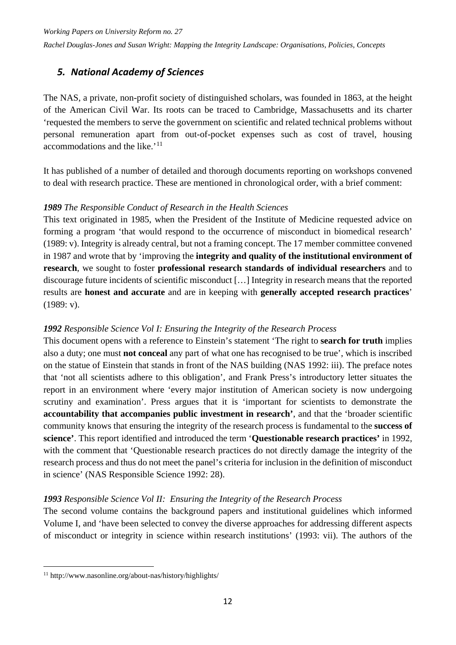#### <span id="page-17-0"></span>*5. National Academy of Sciences*

The NAS, a private, non-profit society of distinguished scholars, was founded in 1863, at the height of the American Civil War. Its roots can be traced to Cambridge, Massachusetts and its charter 'requested the members to serve the government on scientific and related technical problems without personal remuneration apart from out-of-pocket expenses such as cost of travel, housing accommodations and the like.<sup>'[11](#page-17-1)</sup>

It has published of a number of detailed and thorough documents reporting on workshops convened to deal with research practice. These are mentioned in chronological order, with a brief comment:

#### *1989 The Responsible Conduct of Research in the Health Sciences*

This text originated in 1985, when the President of the Institute of Medicine requested advice on forming a program 'that would respond to the occurrence of misconduct in biomedical research' (1989: v). Integrity is already central, but not a framing concept. The 17 member committee convened in 1987 and wrote that by 'improving the **integrity and quality of the institutional environment of research**, we sought to foster **professional research standards of individual researchers** and to discourage future incidents of scientific misconduct […] Integrity in research means that the reported results are **honest and accurate** and are in keeping with **generally accepted research practices**' (1989: v).

#### *1992 Responsible Science Vol I: Ensuring the Integrity of the Research Process*

This document opens with a reference to Einstein's statement 'The right to **search for truth** implies also a duty; one must **not conceal** any part of what one has recognised to be true', which is inscribed on the statue of Einstein that stands in front of the NAS building (NAS 1992: iii). The preface notes that 'not all scientists adhere to this obligation', and Frank Press's introductory letter situates the report in an environment where 'every major institution of American society is now undergoing scrutiny and examination'. Press argues that it is 'important for scientists to demonstrate the **accountability that accompanies public investment in research'**, and that the 'broader scientific community knows that ensuring the integrity of the research process is fundamental to the **success of science'**. This report identified and introduced the term '**Questionable research practices'** in 1992, with the comment that 'Questionable research practices do not directly damage the integrity of the research process and thus do not meet the panel's criteria for inclusion in the definition of misconduct in science' (NAS Responsible Science 1992: 28).

#### *1993 Responsible Science Vol II: Ensuring the Integrity of the Research Process*

The second volume contains the background papers and institutional guidelines which informed Volume I, and 'have been selected to convey the diverse approaches for addressing different aspects of misconduct or integrity in science within research institutions' (1993: vii). The authors of the

-

<span id="page-17-1"></span><sup>11</sup> http://www.nasonline.org/about-nas/history/highlights/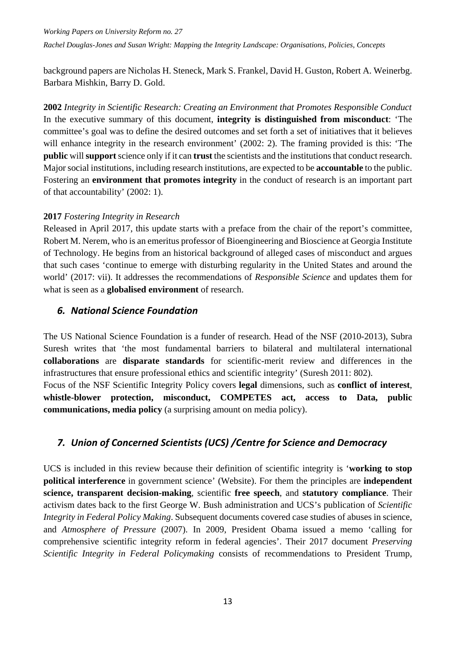background papers are Nicholas H. Steneck, Mark S. Frankel, David H. Guston, Robert A. Weinerbg. Barbara Mishkin, Barry D. Gold.

**2002** *Integrity in Scientific Research: Creating an Environment that Promotes Responsible Conduct* In the executive summary of this document, **integrity is distinguished from misconduct**: 'The committee's goal was to define the desired outcomes and set forth a set of initiatives that it believes will enhance integrity in the research environment' (2002: 2). The framing provided is this: 'The **public** will **support**science only if it can **trust** the scientists and the institutions that conduct research. Majorsocial institutions, including research institutions, are expected to be **accountable** to the public. Fostering an **environment that promotes integrity** in the conduct of research is an important part of that accountability' (2002: 1).

#### **2017** *Fostering Integrity in Research*

Released in April 2017, this update starts with a preface from the chair of the report's committee, Robert M. Nerem, who is an emeritus professor of Bioengineering and Bioscience at Georgia Institute of Technology. He begins from an historical background of alleged cases of misconduct and argues that such cases 'continue to emerge with disturbing regularity in the United States and around the world' (2017: vii). It addresses the recommendations of *Responsible Science* and updates them for what is seen as a **globalised environment** of research.

#### <span id="page-18-0"></span>*6. National Science Foundation*

The US National Science Foundation is a funder of research. Head of the NSF (2010-2013), Subra Suresh writes that 'the most fundamental barriers to bilateral and multilateral international **collaborations** are **disparate standards** for scientific-merit review and differences in the infrastructures that ensure professional ethics and scientific integrity' (Suresh 2011: 802). Focus of the NSF Scientific Integrity Policy covers **legal** dimensions, such as **conflict of interest**, **whistle-blower protection, misconduct, COMPETES act, access to Data, public communications, media policy** (a surprising amount on media policy).

#### <span id="page-18-1"></span>*7. Union of Concerned Scientists (UCS) /Centre for Science and Democracy*

UCS is included in this review because their definition of scientific integrity is '**working to stop political interference** in government science' (Website). For them the principles are **independent science, transparent decision-making**, scientific **free speech**, and **statutory compliance**. Their activism dates back to the first George W. Bush administration and UCS's publication of *Scientific Integrity in Federal Policy Making*. Subsequent documents covered case studies of abuses in science, and *Atmosphere of Pressure* (2007). In 2009, President Obama issued a memo 'calling for comprehensive scientific integrity reform in federal agencies'. Their 2017 document *Preserving Scientific Integrity in Federal Policymaking* consists of recommendations to President Trump,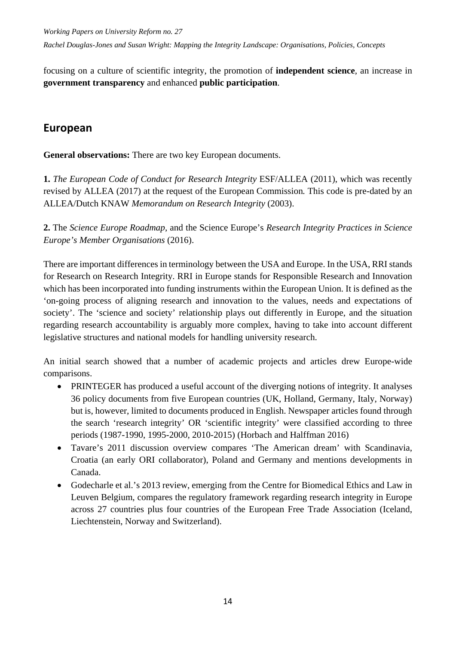focusing on a culture of scientific integrity, the promotion of **independent science**, an increase in **government transparency** and enhanced **public participation**.

#### <span id="page-19-0"></span>**European**

**General observations:** There are two key European documents.

**1.** *The European Code of Conduct for Research Integrity* ESF/ALLEA (2011), which was recently revised by ALLEA (2017) at the request of the European Commission*.* This code is pre-dated by an ALLEA/Dutch KNAW *Memorandum on Research Integrity* (2003).

**2.** The *Science Europe Roadmap*, and the Science Europe's *Research Integrity Practices in Science Europe's Member Organisations* (2016).

There are important differences in terminology between the USA and Europe. In the USA, RRI stands for Research on Research Integrity. RRI in Europe stands for Responsible Research and Innovation which has been incorporated into funding instruments within the European Union. It is defined as the 'on-going process of aligning research and innovation to the values, needs and expectations of society'. The 'science and society' relationship plays out differently in Europe, and the situation regarding research accountability is arguably more complex, having to take into account different legislative structures and national models for handling university research.

An initial search showed that a number of academic projects and articles drew Europe-wide comparisons.

- PRINTEGER has produced a useful account of the diverging notions of integrity. It analyses 36 policy documents from five European countries (UK, Holland, Germany, Italy, Norway) but is, however, limited to documents produced in English. Newspaper articles found through the search 'research integrity' OR 'scientific integrity' were classified according to three periods (1987-1990, 1995-2000, 2010-2015) (Horbach and Halffman 2016)
- Tavare's 2011 discussion overview compares 'The American dream' with Scandinavia, Croatia (an early ORI collaborator), Poland and Germany and mentions developments in Canada.
- Godecharle et al.'s 2013 review, emerging from the Centre for Biomedical Ethics and Law in Leuven Belgium, compares the regulatory framework regarding research integrity in Europe across 27 countries plus four countries of the European Free Trade Association (Iceland, Liechtenstein, Norway and Switzerland).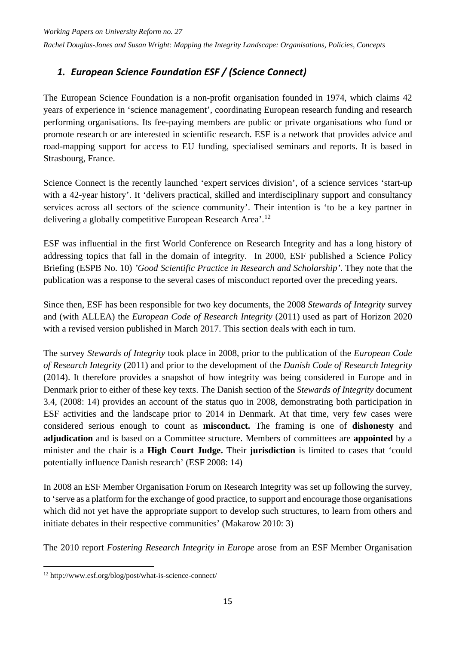## <span id="page-20-0"></span>*1. European Science Foundation ESF / (Science Connect)*

The European Science Foundation is a non-profit organisation founded in 1974, which claims 42 years of experience in 'science management', coordinating European research funding and research performing organisations. Its fee-paying members are public or private organisations who fund or promote research or are interested in scientific research. ESF is a network that provides advice and road-mapping support for access to EU funding, specialised seminars and reports. It is based in Strasbourg, France.

Science Connect is the recently launched 'expert services division', of a science services 'start-up with a 42-year history'. It 'delivers practical, skilled and interdisciplinary support and consultancy services across all sectors of the science community'. Their intention is 'to be a key partner in delivering a globally competitive European Research Area'.<sup>[12](#page-20-1)</sup>

ESF was influential in the first World Conference on Research Integrity and has a long history of addressing topics that fall in the domain of integrity. In 2000, ESF published a Science Policy Briefing (ESPB No. 10) *'Good Scientific Practice in Research and Scholarship'*. They note that the publication was a response to the several cases of misconduct reported over the preceding years.

Since then, ESF has been responsible for two key documents, the 2008 *Stewards of Integrity* survey and (with ALLEA) the *European Code of Research Integrity* (2011) used as part of Horizon 2020 with a revised version published in March 2017. This section deals with each in turn.

The survey *Stewards of Integrity* took place in 2008, prior to the publication of the *European Code of Research Integrity* (2011) and prior to the development of the *Danish Code of Research Integrity* (2014). It therefore provides a snapshot of how integrity was being considered in Europe and in Denmark prior to either of these key texts. The Danish section of the *Stewards of Integrity* document 3.4, (2008: 14) provides an account of the status quo in 2008, demonstrating both participation in ESF activities and the landscape prior to 2014 in Denmark. At that time, very few cases were considered serious enough to count as **misconduct.** The framing is one of **dishonesty** and **adjudication** and is based on a Committee structure. Members of committees are **appointed** by a minister and the chair is a **High Court Judge.** Their **jurisdiction** is limited to cases that 'could potentially influence Danish research' (ESF 2008: 14)

In 2008 an ESF Member Organisation Forum on Research Integrity was set up following the survey, to 'serve as a platform for the exchange of good practice, to support and encourage those organisations which did not yet have the appropriate support to develop such structures, to learn from others and initiate debates in their respective communities' (Makarow 2010: 3)

The 2010 report *Fostering Research Integrity in Europe* arose from an ESF Member Organisation

<span id="page-20-1"></span><sup>-</sup><sup>12</sup> http://www.esf.org/blog/post/what-is-science-connect/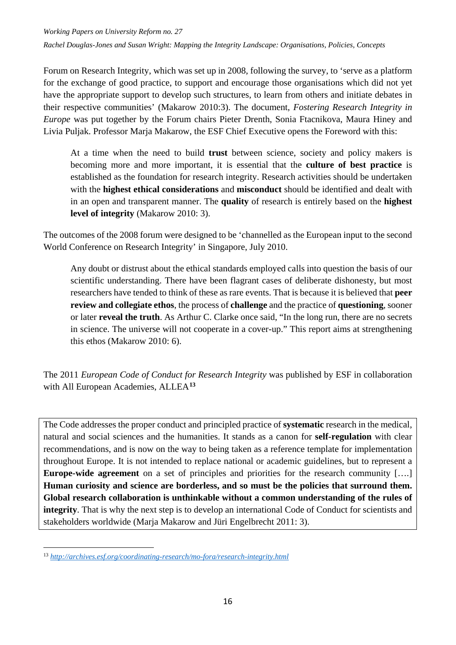Forum on Research Integrity, which was set up in 2008, following the survey, to 'serve as a platform for the exchange of good practice, to support and encourage those organisations which did not yet have the appropriate support to develop such structures, to learn from others and initiate debates in their respective communities' (Makarow 2010:3). The document, *Fostering Research Integrity in Europe* was put together by the Forum chairs Pieter Drenth, Sonia Ftacnikova, Maura Hiney and Livia Puljak. Professor Marja Makarow, the ESF Chief Executive opens the Foreword with this:

At a time when the need to build **trust** between science, society and policy makers is becoming more and more important, it is essential that the **culture of best practice** is established as the foundation for research integrity. Research activities should be undertaken with the **highest ethical considerations** and **misconduct** should be identified and dealt with in an open and transparent manner. The **quality** of research is entirely based on the **highest level of integrity** (Makarow 2010: 3).

The outcomes of the 2008 forum were designed to be 'channelled as the European input to the second World Conference on Research Integrity' in Singapore, July 2010.

Any doubt or distrust about the ethical standards employed calls into question the basis of our scientific understanding. There have been flagrant cases of deliberate dishonesty, but most researchers have tended to think of these as rare events. That is because it is believed that **peer review and collegiate ethos**, the process of **challenge** and the practice of **questioning**, sooner or later **reveal the truth**. As Arthur C. Clarke once said, "In the long run, there are no secrets in science. The universe will not cooperate in a cover-up." This report aims at strengthening this ethos (Makarow 2010: 6).

The 2011 *European Code of Conduct for Research Integrity* was published by ESF in collaboration with All European Academies, ALLEA**[13](#page-21-0)**

The Code addresses the proper conduct and principled practice of **systematic** research in the medical, natural and social sciences and the humanities. It stands as a canon for **self-regulation** with clear recommendations, and is now on the way to being taken as a reference template for implementation throughout Europe. It is not intended to replace national or academic guidelines, but to represent a **Europe-wide agreement** on a set of principles and priorities for the research community [....] Human curiosity and science are borderless, and so must be the policies that surround them. **Global research collaboration is unthinkable without a common understanding of the rules of integrity**. That is why the next step is to develop an international Code of Conduct for scientists and stakeholders worldwide (Marja Makarow and Jüri Engelbrecht 2011: 3).

1

<span id="page-21-0"></span><sup>13</sup> *<http://archives.esf.org/coordinating-research/mo-fora/research-integrity.html>*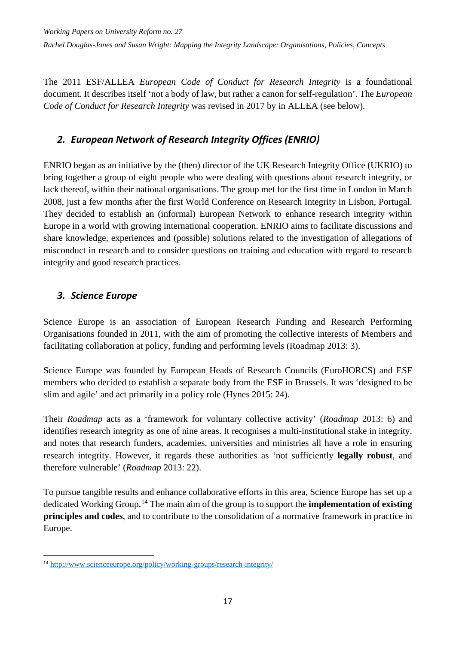The 2011 ESF/ALLEA *European Code of Conduct for Research Integrity* is a foundational document. It describes itself 'not a body of law, but rather a canon for self-regulation'. The *European Code of Conduct for Research Integrity* was revised in 2017 by in ALLEA (see below).

#### <span id="page-22-0"></span>*2. European Network of Research Integrity Offices (ENRIO)*

ENRIO began as an initiative by the (then) director of the UK Research Integrity Office (UKRIO) to bring together a group of eight people who were dealing with questions about research integrity, or lack thereof, within their national organisations. The group met for the first time in London in March 2008, just a few months after the first World Conference on Research Integrity in Lisbon, Portugal. They decided to establish an (informal) European Network to enhance research integrity within Europe in a world with growing international cooperation. ENRIO aims to facilitate discussions and share knowledge, experiences and (possible) solutions related to the investigation of allegations of misconduct in research and to consider questions on training and education with regard to research integrity and good research practices.

#### <span id="page-22-1"></span>*3. Science Europe*

-

Science Europe is an association of European Research Funding and Research Performing Organisations founded in 2011, with the aim of promoting the collective interests of Members and facilitating collaboration at policy, funding and performing levels (Roadmap 2013: 3).

Science Europe was founded by European Heads of Research Councils (EuroHORCS) and ESF members who decided to establish a separate body from the ESF in Brussels. It was 'designed to be slim and agile' and act primarily in a policy role (Hynes 2015: 24).

Their *Roadmap* acts as a 'framework for voluntary collective activity' (*Roadmap* 2013: 6) and identifies research integrity as one of nine areas. It recognises a multi-institutional stake in integrity, and notes that research funders, academies, universities and ministries all have a role in ensuring research integrity. However, it regards these authorities as 'not sufficiently **legally robust**, and therefore vulnerable' (*Roadmap* 2013: 22).

To pursue tangible results and enhance collaborative efforts in this area, Science Europe has set up a dedicated Working Group.[14](#page-22-2) The main aim of the group is to support the **implementation of existing principles and codes**, and to contribute to the consolidation of a normative framework in practice in Europe.

<span id="page-22-2"></span><sup>14</sup> <http://www.scienceeurope.org/policy/working-groups/research-integrity/>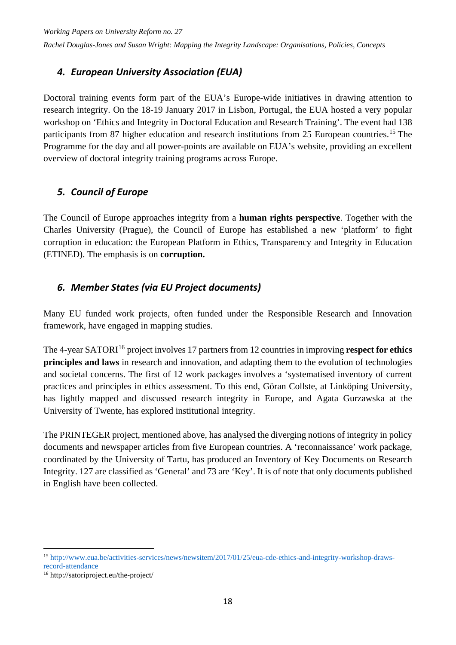#### <span id="page-23-0"></span>*4. European University Association (EUA)*

Doctoral training events form part of the EUA's Europe-wide initiatives in drawing attention to research integrity. On the 18-19 January 2017 in Lisbon, Portugal, the EUA hosted a very popular workshop on 'Ethics and Integrity in Doctoral Education and Research Training'. The event had 138 participants from 87 higher education and research institutions from 25 European countries.<sup>[15](#page-23-3)</sup> The Programme for the day and all power-points are available on EUA's website, providing an excellent overview of doctoral integrity training programs across Europe.

#### <span id="page-23-1"></span>*5. Council of Europe*

The Council of Europe approaches integrity from a **human rights perspective**. Together with the Charles University (Prague), the Council of Europe has established a new 'platform' to fight corruption in education: the European Platform in Ethics, Transparency and Integrity in Education (ETINED). The emphasis is on **corruption.**

#### <span id="page-23-2"></span>*6. Member States (via EU Project documents)*

Many EU funded work projects, often funded under the Responsible Research and Innovation framework, have engaged in mapping studies.

The 4-year SATORI<sup>[16](#page-23-4)</sup> project involves 17 partners from 12 countries in improving **respect for ethics principles and laws** in research and innovation, and adapting them to the evolution of technologies and societal concerns. The first of 12 work packages involves a 'systematised inventory of current practices and principles in ethics assessment. To this end, Göran Collste, at Linköping University, has lightly mapped and discussed research integrity in Europe, and Agata Gurzawska at the University of Twente, has explored institutional integrity.

The PRINTEGER project, mentioned above, has analysed the diverging notions of integrity in policy documents and newspaper articles from five European countries. A 'reconnaissance' work package, coordinated by the University of Tartu, has produced an Inventory of Key Documents on Research Integrity. 127 are classified as 'General' and 73 are 'Key'. It is of note that only documents published in English have been collected.

-

<span id="page-23-3"></span><sup>15</sup> [http://www.eua.be/activities-services/news/newsitem/2017/01/25/eua-cde-ethics-and-integrity-workshop-draws](http://www.eua.be/activities-services/news/newsitem/2017/01/25/eua-cde-ethics-and-integrity-workshop-draws-record-attendance)[record-attendance](http://www.eua.be/activities-services/news/newsitem/2017/01/25/eua-cde-ethics-and-integrity-workshop-draws-record-attendance)

<span id="page-23-4"></span><sup>16</sup> http://satoriproject.eu/the-project/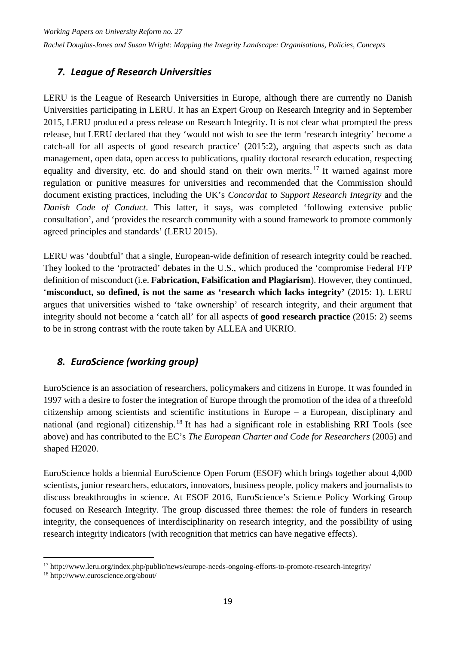#### <span id="page-24-0"></span>*7. League of Research Universities*

LERU is the League of Research Universities in Europe, although there are currently no Danish Universities participating in LERU. It has an Expert Group on Research Integrity and in September 2015, LERU produced a press release on Research Integrity. It is not clear what prompted the press release, but LERU declared that they 'would not wish to see the term 'research integrity' become a catch-all for all aspects of good research practice' (2015:2), arguing that aspects such as data management, open data, open access to publications, quality doctoral research education, respecting equality and diversity, etc. do and should stand on their own merits.<sup>[17](#page-24-2)</sup> It warned against more regulation or punitive measures for universities and recommended that the Commission should document existing practices, including the UK's *Concordat to Support Research Integrity* and the *Danish Code of Conduct*. This latter, it says, was completed 'following extensive public consultation', and 'provides the research community with a sound framework to promote commonly agreed principles and standards' (LERU 2015).

LERU was 'doubtful' that a single, European-wide definition of research integrity could be reached. They looked to the 'protracted' debates in the U.S., which produced the 'compromise Federal FFP definition of misconduct (i.e. **Fabrication, Falsification and Plagiarism**). However, they continued, '**misconduct, so defined, is not the same as 'research which lacks integrity'** (2015: 1). LERU argues that universities wished to 'take ownership' of research integrity, and their argument that integrity should not become a 'catch all' for all aspects of **good research practice** (2015: 2) seems to be in strong contrast with the route taken by ALLEA and UKRIO.

#### <span id="page-24-1"></span>*8. EuroScience (working group)*

EuroScience is an association of researchers, policymakers and citizens in Europe. It was founded in 1997 with a desire to foster the integration of Europe through the promotion of the idea of a threefold citizenship among scientists and scientific institutions in Europe – a European, disciplinary and national (and regional) citizenship.<sup>[18](#page-24-3)</sup> It has had a significant role in establishing RRI Tools (see above) and has contributed to the EC's *The European Charter and Code for Researchers* (2005) and shaped H2020.

EuroScience holds a biennial EuroScience Open Forum (ESOF) which brings together about 4,000 scientists, junior researchers, educators, innovators, business people, policy makers and journalists to discuss breakthroughs in science. At ESOF 2016, EuroScience's Science Policy Working Group focused on Research Integrity. The group discussed three themes: the role of funders in research integrity, the consequences of interdisciplinarity on research integrity, and the possibility of using research integrity indicators (with recognition that metrics can have negative effects).

<sup>1</sup> <sup>17</sup> http://www.leru.org/index.php/public/news/europe-needs-ongoing-efforts-to-promote-research-integrity/

<span id="page-24-3"></span><span id="page-24-2"></span><sup>18</sup> http://www.euroscience.org/about/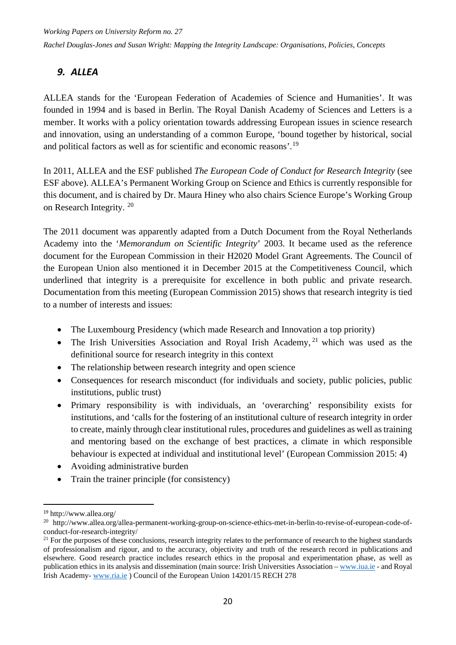#### <span id="page-25-0"></span>*9. ALLEA*

ALLEA stands for the 'European Federation of Academies of Science and Humanities'. It was founded in 1994 and is based in Berlin. The Royal Danish Academy of Sciences and Letters is a member. It works with a policy orientation towards addressing European issues in science research and innovation, using an understanding of a common Europe, 'bound together by historical, social and political factors as well as for scientific and economic reasons'.[19](#page-25-1)

In 2011, ALLEA and the ESF published *The European Code of Conduct for Research Integrity* (see ESF above). ALLEA's Permanent Working Group on Science and Ethics is currently responsible for this document, and is chaired by Dr. Maura Hiney who also chairs Science Europe's Working Group on Research Integrity. [20](#page-25-2)

The 2011 document was apparently adapted from a Dutch Document from the Royal Netherlands Academy into the '*Memorandum on Scientific Integrity*' 2003. It became used as the reference document for the European Commission in their H2020 Model Grant Agreements. The Council of the European Union also mentioned it in December 2015 at the Competitiveness Council, which underlined that integrity is a prerequisite for excellence in both public and private research. Documentation from this meeting (European Commission 2015) shows that research integrity is tied to a number of interests and issues:

- The Luxembourg Presidency (which made Research and Innovation a top priority)
- The Irish Universities Association and Royal Irish Academy,  $21$  which was used as the definitional source for research integrity in this context
- The relationship between research integrity and open science
- Consequences for research misconduct (for individuals and society, public policies, public institutions, public trust)
- Primary responsibility is with individuals, an 'overarching' responsibility exists for institutions, and 'calls for the fostering of an institutional culture of research integrity in order to create, mainly through clear institutional rules, procedures and guidelines as well as training and mentoring based on the exchange of best practices, a climate in which responsible behaviour is expected at individual and institutional level' (European Commission 2015: 4)
- Avoiding administrative burden
- Train the trainer principle (for consistency)

<span id="page-25-1"></span> <sup>19</sup> http://www.allea.org/

<span id="page-25-2"></span><sup>20</sup> http://www.allea.org/allea-permanent-working-group-on-science-ethics-met-in-berlin-to-revise-of-european-code-ofconduct-for-research-integrity/

<span id="page-25-3"></span><sup>&</sup>lt;sup>21</sup> For the purposes of these conclusions, research integrity relates to the performance of research to the highest standards of professionalism and rigour, and to the accuracy, objectivity and truth of the research record in publications and elsewhere. Good research practice includes research ethics in the proposal and experimentation phase, as well as publication ethics in its analysis and dissemination (main source: Irish Universities Association – [www.iua.ie](http://www.iua.ie/) - and Royal Irish Academy- [www.ria.ie](http://www.ria.ie/) ) Council of the European Union 14201/15 RECH 278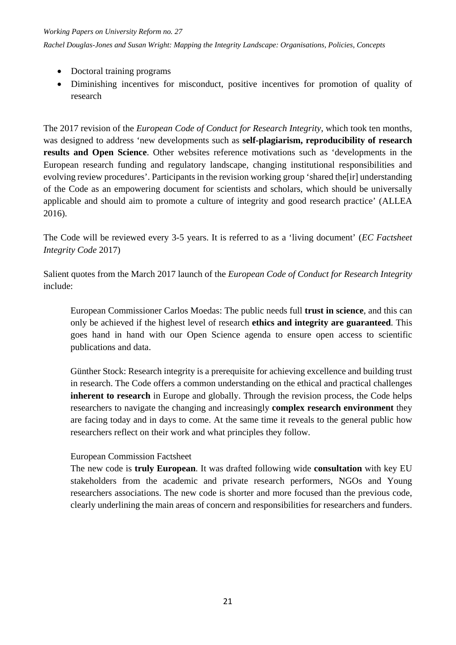*Working Papers on University Reform no. 27*

*Rachel Douglas-Jones and Susan Wright: Mapping the Integrity Landscape: Organisations, Policies, Concepts*

- Doctoral training programs
- Diminishing incentives for misconduct, positive incentives for promotion of quality of research

The 2017 revision of the *European Code of Conduct for Research Integrity*, which took ten months, was designed to address 'new developments such as **self-plagiarism, reproducibility of research results and Open Science**. Other websites reference motivations such as 'developments in the European research funding and regulatory landscape, changing institutional responsibilities and evolving review procedures'. Participants in the revision working group 'shared the[ir] understanding of the Code as an empowering document for scientists and scholars, which should be universally applicable and should aim to promote a culture of integrity and good research practice' (ALLEA 2016).

The Code will be reviewed every 3-5 years. It is referred to as a 'living document' (*EC Factsheet Integrity Code* 2017)

Salient quotes from the March 2017 launch of the *European Code of Conduct for Research Integrity*  include:

European Commissioner Carlos Moedas: The public needs full **trust in science**, and this can only be achieved if the highest level of research **ethics and integrity are guaranteed**. This goes hand in hand with our Open Science agenda to ensure open access to scientific publications and data.

Günther Stock: Research integrity is a prerequisite for achieving excellence and building trust in research. The Code offers a common understanding on the ethical and practical challenges **inherent to research** in Europe and globally. Through the revision process, the Code helps researchers to navigate the changing and increasingly **complex research environment** they are facing today and in days to come. At the same time it reveals to the general public how researchers reflect on their work and what principles they follow.

#### European Commission Factsheet

The new code is **truly European**. It was drafted following wide **consultation** with key EU stakeholders from the academic and private research performers, NGOs and Young researchers associations. The new code is shorter and more focused than the previous code, clearly underlining the main areas of concern and responsibilities for researchers and funders.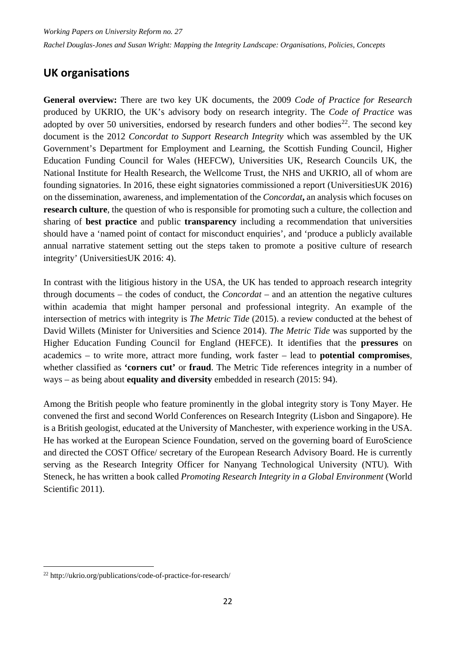## <span id="page-27-0"></span>**UK organisations**

**General overview:** There are two key UK documents, the 2009 *Code of Practice for Research* produced by UKRIO, the UK's advisory body on research integrity. The *Code of Practice* was adopted by over 50 universities, endorsed by research funders and other bodies<sup>[22](#page-27-1)</sup>. The second key document is the 2012 *Concordat to Support Research Integrity* which was assembled by the UK Government's Department for Employment and Learning, the Scottish Funding Council, Higher Education Funding Council for Wales (HEFCW), Universities UK, Research Councils UK, the National Institute for Health Research, the Wellcome Trust, the NHS and UKRIO, all of whom are founding signatories. In 2016, these eight signatories commissioned a report (UniversitiesUK 2016) on the dissemination, awareness, and implementation of the *Concordat***,** an analysis which focuses on **research culture***,* the question of who is responsible for promoting such a culture, the collection and sharing of **best practice** and public **transparency** including a recommendation that universities should have a 'named point of contact for misconduct enquiries', and 'produce a publicly available annual narrative statement setting out the steps taken to promote a positive culture of research integrity' (UniversitiesUK 2016: 4).

In contrast with the litigious history in the USA, the UK has tended to approach research integrity through documents – the codes of conduct, the *Concordat –* and an attention the negative cultures within academia that might hamper personal and professional integrity. An example of the intersection of metrics with integrity is *The Metric Tide* (2015). a review conducted at the behest of David Willets (Minister for Universities and Science 2014). *The Metric Tide* was supported by the Higher Education Funding Council for England (HEFCE). It identifies that the **pressures** on academics – to write more, attract more funding, work faster – lead to **potential compromises**, whether classified as **'corners cut'** or **fraud**. The Metric Tide references integrity in a number of ways – as being about **equality and diversity** embedded in research (2015: 94).

Among the British people who feature prominently in the global integrity story is Tony Mayer. He convened the first and second World Conferences on Research Integrity (Lisbon and Singapore). He is a British geologist, educated at the University of Manchester, with experience working in the USA. He has worked at the European Science Foundation, served on the governing board of EuroScience and directed the COST Office/ secretary of the European Research Advisory Board. He is currently serving as the Research Integrity Officer for Nanyang Technological University (NTU)*.* With Steneck, he has written a book called *Promoting Research Integrity in a Global Environment* (World Scientific 2011).

-

<span id="page-27-1"></span><sup>22</sup> http://ukrio.org/publications/code-of-practice-for-research/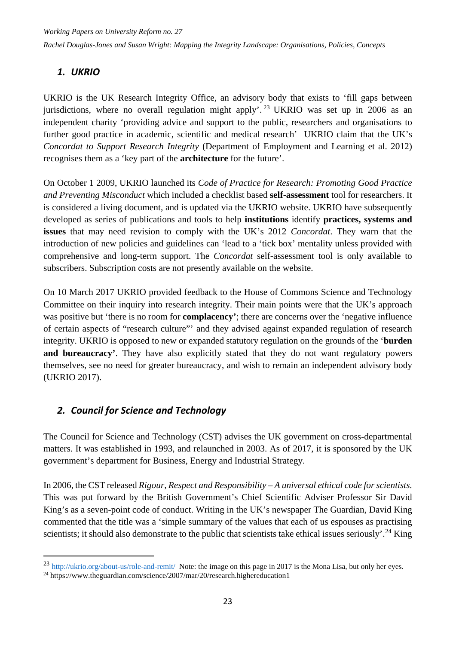#### <span id="page-28-0"></span>*1. UKRIO*

UKRIO is the UK Research Integrity Office, an advisory body that exists to 'fill gaps between jurisdictions, where no overall regulation might apply'.<sup>[23](#page-28-2)</sup> UKRIO was set up in 2006 as an independent charity 'providing advice and support to the public, researchers and organisations to further good practice in academic, scientific and medical research' UKRIO claim that the UK's *Concordat to Support Research Integrity* (Department of Employment and Learning et al. 2012) recognises them as a 'key part of the **architecture** for the future'.

On October 1 2009, UKRIO launched its *Code of Practice for Research: Promoting Good Practice and Preventing Misconduct* which included a checklist based **self-assessment** tool for researchers. It is considered a living document, and is updated via the UKRIO website. UKRIO have subsequently developed as series of publications and tools to help **institutions** identify **practices, systems and issues** that may need revision to comply with the UK's 2012 *Concordat*. They warn that the introduction of new policies and guidelines can 'lead to a 'tick box' mentality unless provided with comprehensive and long-term support. The *Concordat* self-assessment tool is only available to subscribers. Subscription costs are not presently available on the website.

On 10 March 2017 UKRIO provided feedback to the House of Commons Science and Technology Committee on their inquiry into research integrity. Their main points were that the UK's approach was positive but 'there is no room for **complacency'**; there are concerns over the 'negative influence of certain aspects of "research culture"' and they advised against expanded regulation of research integrity. UKRIO is opposed to new or expanded statutory regulation on the grounds of the '**burden**  and bureaucracy'. They have also explicitly stated that they do not want regulatory powers themselves, see no need for greater bureaucracy, and wish to remain an independent advisory body (UKRIO 2017).

#### <span id="page-28-1"></span>*2. Council for Science and Technology*

The Council for Science and Technology (CST) advises the UK government on cross-departmental matters. It was established in 1993, and relaunched in 2003. As of 2017, it is sponsored by the UK government's department for Business, Energy and Industrial Strategy.

In 2006, the CST released *Rigour, Respect and Responsibility – A universal ethical code for scientists.*  This was put forward by the British Government's Chief Scientific Adviser Professor Sir David King's as a seven-point code of conduct. Writing in the UK's newspaper The Guardian, David King commented that the title was a 'simple summary of the values that each of us espouses as practising scientists; it should also demonstrate to the public that scientists take ethical issues seriously'.<sup>[24](#page-28-3)</sup> King

1

<span id="page-28-2"></span><sup>&</sup>lt;sup>23</sup> <http://ukrio.org/about-us/role-and-remit/>Note: the image on this page in 2017 is the Mona Lisa, but only her eyes.

<span id="page-28-3"></span><sup>&</sup>lt;sup>24</sup> https://www.theguardian.com/science/2007/mar/20/research.highereducation1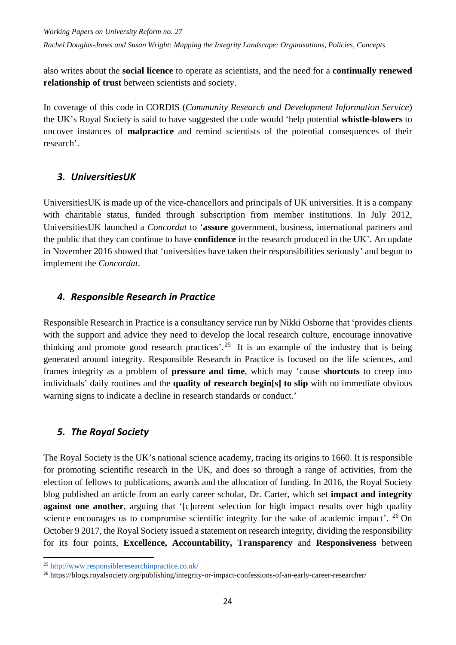*Working Papers on University Reform no. 27*

*Rachel Douglas-Jones and Susan Wright: Mapping the Integrity Landscape: Organisations, Policies, Concepts*

also writes about the **social licence** to operate as scientists, and the need for a **continually renewed relationship of trust** between scientists and society.

In coverage of this code in CORDIS (*Community Research and Development Information Service*) the UK's Royal Society is said to have suggested the code would 'help potential **whistle-blowers** to uncover instances of **malpractice** and remind scientists of the potential consequences of their research'.

#### <span id="page-29-0"></span>*3. UniversitiesUK*

UniversitiesUK is made up of the vice-chancellors and principals of UK universities. It is a company with charitable status, funded through subscription from member institutions. In July 2012, UniversitiesUK launched a *Concordat* to '**assure** government, business, international partners and the public that they can continue to have **confidence** in the research produced in the UK'. An update in November 2016 showed that 'universities have taken their responsibilities seriously' and begun to implement the *Concordat*.

#### <span id="page-29-1"></span>*4. Responsible Research in Practice*

Responsible Research in Practice is a consultancy service run by Nikki Osborne that 'provides clients with the support and advice they need to develop the local research culture, encourage innovative thinking and promote good research practices'.<sup>[25](#page-29-3)</sup> It is an example of the industry that is being generated around integrity. Responsible Research in Practice is focused on the life sciences, and frames integrity as a problem of **pressure and time**, which may 'cause **shortcuts** to creep into individuals' daily routines and the **quality of research begin[s] to slip** with no immediate obvious warning signs to indicate a decline in research standards or conduct.'

#### <span id="page-29-2"></span>*5. The Royal Society*

The Royal Society is the UK's national science academy, tracing its origins to 1660. It is responsible for promoting scientific research in the UK, and does so through a range of activities, from the election of fellows to publications, awards and the allocation of funding. In 2016, the Royal Society blog published an article from an early career scholar, Dr. Carter, which set **impact and integrity against one another**, arguing that '[c]urrent selection for high impact results over high quality science encourages us to compromise scientific integrity for the sake of academic impact'. <sup>[26](#page-29-4)</sup> On October 9 2017, the Royal Society issued a statement on research integrity, dividing the responsibility for its four points, **Excellence, Accountability, Transparency** and **Responsiveness** between

1

<span id="page-29-3"></span><sup>25</sup> <http://www.responsibleresearchinpractice.co.uk/>

<span id="page-29-4"></span><sup>26</sup> https://blogs.royalsociety.org/publishing/integrity-or-impact-confessions-of-an-early-career-researcher/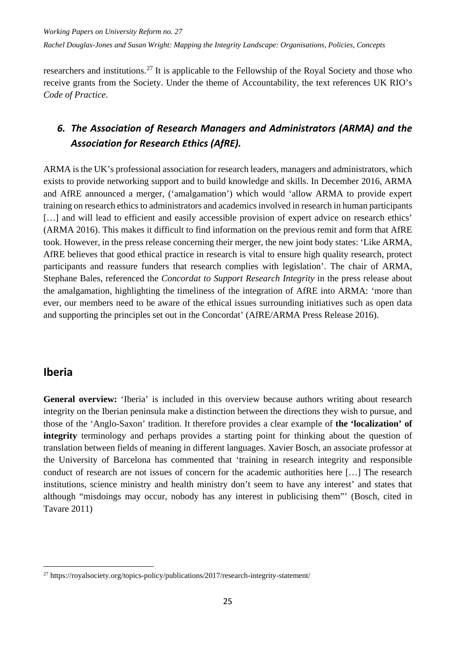researchers and institutions.<sup>[27](#page-30-2)</sup> It is applicable to the Fellowship of the Royal Society and those who receive grants from the Society. Under the theme of Accountability, the text references UK RIO's *Code of Practice*.

## <span id="page-30-0"></span>*6. The Association of Research Managers and Administrators (ARMA) and the Association for Research Ethics (AfRE).*

ARMA is the UK's professional association for research leaders, managers and administrators, which exists to provide networking support and to build knowledge and skills. In December 2016, ARMA and AfRE announced a merger, ('amalgamation') which would 'allow ARMA to provide expert training on research ethics to administrators and academics involved in research in human participants [...] and will lead to efficient and easily accessible provision of expert advice on research ethics' (ARMA 2016). This makes it difficult to find information on the previous remit and form that AfRE took. However, in the press release concerning their merger, the new joint body states: 'Like ARMA, AfRE believes that good ethical practice in research is vital to ensure high quality research, protect participants and reassure funders that research complies with legislation'. The chair of ARMA, Stephane Bales, referenced the *Concordat to Support Research Integrity* in the press release about the amalgamation, highlighting the timeliness of the integration of AfRE into ARMA: 'more than ever, our members need to be aware of the ethical issues surrounding initiatives such as open data and supporting the principles set out in the Concordat' (AfRE/ARMA Press Release 2016).

### <span id="page-30-1"></span>**Iberia**

-

**General overview:** 'Iberia' is included in this overview because authors writing about research integrity on the Iberian peninsula make a distinction between the directions they wish to pursue, and those of the 'Anglo-Saxon' tradition. It therefore provides a clear example of **the 'localization' of integrity** terminology and perhaps provides a starting point for thinking about the question of translation between fields of meaning in different languages. Xavier Bosch, an associate professor at the University of Barcelona has commented that 'training in research integrity and responsible conduct of research are not issues of concern for the academic authorities here […] The research institutions, science ministry and health ministry don't seem to have any interest' and states that although "misdoings may occur, nobody has any interest in publicising them"' (Bosch, cited in Tavare 2011)

<span id="page-30-2"></span> $^{27}$  https://royalsociety.org/topics-policy/publications/2017/research-integrity-statement/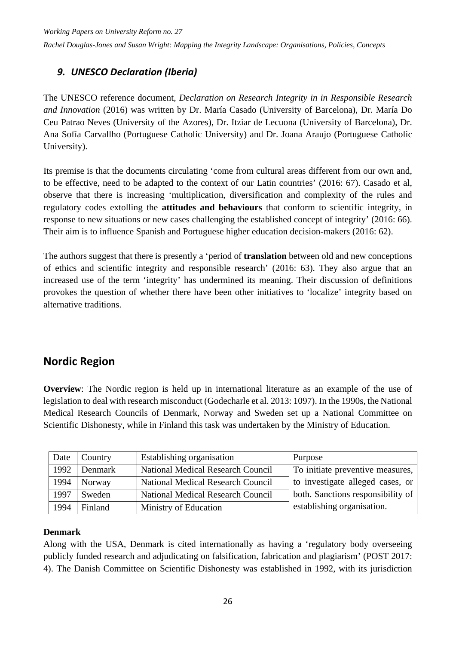#### <span id="page-31-0"></span>*9. UNESCO Declaration (Iberia)*

The UNESCO reference document, *Declaration on Research Integrity in in Responsible Research and Innovation* (2016) was written by Dr. María Casado (University of Barcelona), Dr. María Do Ceu Patrao Neves (University of the Azores), Dr. Itziar de Lecuona (University of Barcelona), Dr. Ana Sofía Carvallho (Portuguese Catholic University) and Dr. Joana Araujo (Portuguese Catholic University).

Its premise is that the documents circulating 'come from cultural areas different from our own and, to be effective, need to be adapted to the context of our Latin countries' (2016: 67). Casado et al, observe that there is increasing 'multiplication, diversification and complexity of the rules and regulatory codes extolling the **attitudes and behaviours** that conform to scientific integrity, in response to new situations or new cases challenging the established concept of integrity' (2016: 66). Their aim is to influence Spanish and Portuguese higher education decision-makers (2016: 62).

The authors suggest that there is presently a 'period of **translation** between old and new conceptions of ethics and scientific integrity and responsible research' (2016: 63). They also argue that an increased use of the term 'integrity' has undermined its meaning. Their discussion of definitions provokes the question of whether there have been other initiatives to 'localize' integrity based on alternative traditions.

### <span id="page-31-1"></span>**Nordic Region**

**Overview**: The Nordic region is held up in international literature as an example of the use of legislation to deal with research misconduct (Godecharle et al. 2013: 1097). In the 1990s, the National Medical Research Councils of Denmark, Norway and Sweden set up a National Committee on Scientific Dishonesty, while in Finland this task was undertaken by the Ministry of Education.

| Date | Country | Establishing organisation                | Purpose                           |
|------|---------|------------------------------------------|-----------------------------------|
| 1992 | Denmark | <b>National Medical Research Council</b> | To initiate preventive measures,  |
| 1994 | Norway  | National Medical Research Council        | to investigate alleged cases, or  |
| 1997 | Sweden  | <b>National Medical Research Council</b> | both. Sanctions responsibility of |
| 1994 | Finland | Ministry of Education                    | establishing organisation.        |

#### **Denmark**

Along with the USA, Denmark is cited internationally as having a 'regulatory body overseeing publicly funded research and adjudicating on falsification, fabrication and plagiarism' (POST 2017: 4). The Danish Committee on Scientific Dishonesty was established in 1992, with its jurisdiction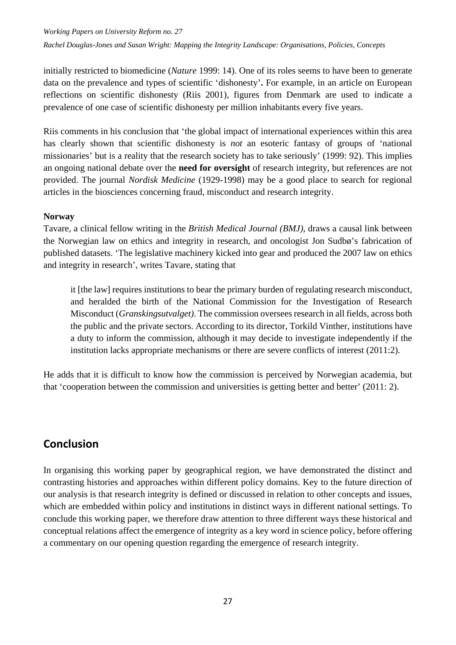*Working Papers on University Reform no. 27*

*Rachel Douglas-Jones and Susan Wright: Mapping the Integrity Landscape: Organisations, Policies, Concepts*

initially restricted to biomedicine (*Nature* 1999: 14). One of its roles seems to have been to generate data on the prevalence and types of scientific 'dishonesty'**.** For example, in an article on European reflections on scientific dishonesty (Riis 2001), figures from Denmark are used to indicate a prevalence of one case of scientific dishonesty per million inhabitants every five years.

Riis comments in his conclusion that 'the global impact of international experiences within this area has clearly shown that scientific dishonesty is *not* an esoteric fantasy of groups of 'national missionaries' but is a reality that the research society has to take seriously' (1999: 92). This implies an ongoing national debate over the **need for oversight** of research integrity, but references are not provided. The journal *Nordisk Medicine* (1929-1998) may be a good place to search for regional articles in the biosciences concerning fraud, misconduct and research integrity.

#### **Norway**

Tavare, a clinical fellow writing in the *British Medical Journal (BMJ)*, draws a causal link between the Norwegian law on ethics and integrity in research, and oncologist Jon Sudbø's fabrication of published datasets. 'The legislative machinery kicked into gear and produced the 2007 law on ethics and integrity in research', writes Tavare, stating that

it [the law] requires institutions to bear the primary burden of regulating research misconduct, and heralded the birth of the National Commission for the Investigation of Research Misconduct (*Granskingsutvalget)*. The commission oversees research in all fields, across both the public and the private sectors. According to its director, Torkild Vinther, institutions have a duty to inform the commission, although it may decide to investigate independently if the institution lacks appropriate mechanisms or there are severe conflicts of interest (2011:2).

He adds that it is difficult to know how the commission is perceived by Norwegian academia, but that 'cooperation between the commission and universities is getting better and better' (2011: 2).

### <span id="page-32-0"></span>**Conclusion**

In organising this working paper by geographical region, we have demonstrated the distinct and contrasting histories and approaches within different policy domains. Key to the future direction of our analysis is that research integrity is defined or discussed in relation to other concepts and issues, which are embedded within policy and institutions in distinct ways in different national settings. To conclude this working paper, we therefore draw attention to three different ways these historical and conceptual relations affect the emergence of integrity as a key word in science policy, before offering a commentary on our opening question regarding the emergence of research integrity.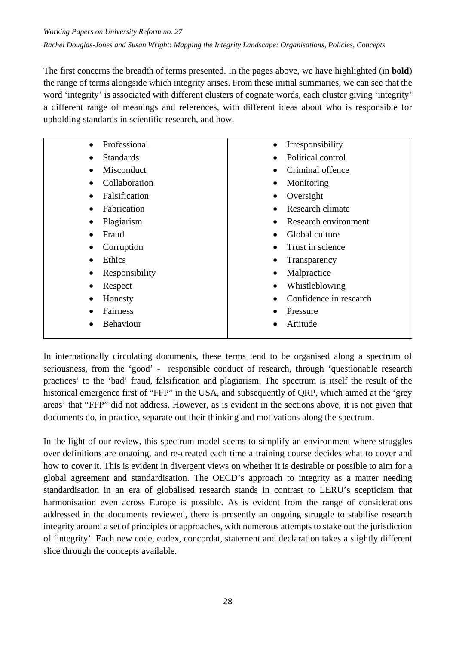The first concerns the breadth of terms presented. In the pages above, we have highlighted (in **bold**) the range of terms alongside which integrity arises. From these initial summaries, we can see that the word 'integrity' is associated with different clusters of cognate words, each cluster giving 'integrity' a different range of meanings and references, with different ideas about who is responsible for upholding standards in scientific research, and how.

| Professional<br>$\bullet$  | Irresponsibility       |
|----------------------------|------------------------|
| <b>Standards</b>           | Political control      |
| Misconduct                 | Criminal offence       |
| Collaboration              | Monitoring             |
| Falsification<br>$\bullet$ | Oversight              |
| Fabrication<br>$\bullet$   | Research climate       |
| Plagiarism<br>$\bullet$    | Research environment   |
| Fraud<br>$\bullet$         | Global culture         |
| Corruption                 | Trust in science       |
| Ethics                     | Transparency           |
| Responsibility<br>٠        | Malpractice            |
| Respect                    | Whistleblowing         |
| Honesty<br>٠               | Confidence in research |
| Fairness                   | Pressure               |
| <b>Behaviour</b>           | Attitude               |
|                            |                        |

In internationally circulating documents, these terms tend to be organised along a spectrum of seriousness, from the 'good' - responsible conduct of research, through 'questionable research practices' to the 'bad' fraud, falsification and plagiarism. The spectrum is itself the result of the historical emergence first of "FFP" in the USA, and subsequently of ORP, which aimed at the 'grey areas' that "FFP" did not address. However, as is evident in the sections above, it is not given that documents do, in practice, separate out their thinking and motivations along the spectrum.

In the light of our review, this spectrum model seems to simplify an environment where struggles over definitions are ongoing, and re-created each time a training course decides what to cover and how to cover it. This is evident in divergent views on whether it is desirable or possible to aim for a global agreement and standardisation. The OECD's approach to integrity as a matter needing standardisation in an era of globalised research stands in contrast to LERU's scepticism that harmonisation even across Europe is possible. As is evident from the range of considerations addressed in the documents reviewed, there is presently an ongoing struggle to stabilise research integrity around a set of principles or approaches, with numerous attempts to stake out the jurisdiction of 'integrity'. Each new code, codex, concordat, statement and declaration takes a slightly different slice through the concepts available.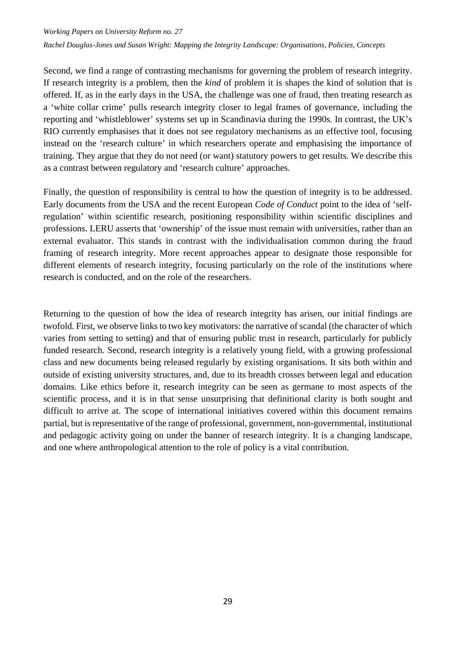*Working Papers on University Reform no. 27 Rachel Douglas-Jones and Susan Wright: Mapping the Integrity Landscape: Organisations, Policies, Concepts*

Second, we find a range of contrasting mechanisms for governing the problem of research integrity. If research integrity is a problem, then the *kind* of problem it is shapes the kind of solution that is offered. If, as in the early days in the USA, the challenge was one of fraud, then treating research as a 'white collar crime' pulls research integrity closer to legal frames of governance, including the reporting and 'whistleblower' systems set up in Scandinavia during the 1990s. In contrast, the UK's RIO currently emphasises that it does not see regulatory mechanisms as an effective tool, focusing instead on the 'research culture' in which researchers operate and emphasising the importance of training. They argue that they do not need (or want) statutory powers to get results. We describe this as a contrast between regulatory and 'research culture' approaches.

Finally, the question of responsibility is central to how the question of integrity is to be addressed. Early documents from the USA and the recent European *Code of Conduct* point to the idea of 'selfregulation' within scientific research, positioning responsibility within scientific disciplines and professions. LERU asserts that 'ownership' of the issue must remain with universities, rather than an external evaluator. This stands in contrast with the individualisation common during the fraud framing of research integrity. More recent approaches appear to designate those responsible for different elements of research integrity, focusing particularly on the role of the institutions where research is conducted, and on the role of the researchers.

Returning to the question of how the idea of research integrity has arisen, our initial findings are twofold. First, we observe links to two key motivators: the narrative of scandal (the character of which varies from setting to setting) and that of ensuring public trust in research, particularly for publicly funded research. Second, research integrity is a relatively young field, with a growing professional class and new documents being released regularly by existing organisations. It sits both within and outside of existing university structures, and, due to its breadth crosses between legal and education domains. Like ethics before it, research integrity can be seen as germane to most aspects of the scientific process, and it is in that sense unsurprising that definitional clarity is both sought and difficult to arrive at. The scope of international initiatives covered within this document remains partial, but is representative of the range of professional, government, non-governmental, institutional and pedagogic activity going on under the banner of research integrity. It is a changing landscape, and one where anthropological attention to the role of policy is a vital contribution.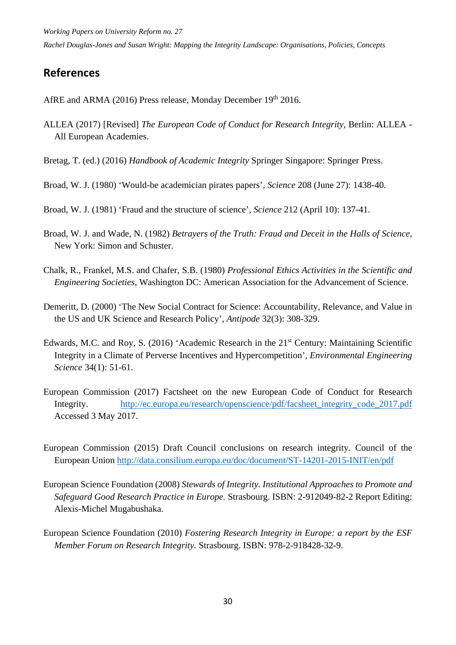*Working Papers on University Reform no. 27 Rachel Douglas-Jones and Susan Wright: Mapping the Integrity Landscape: Organisations, Policies, Concepts*

## <span id="page-35-0"></span>**References**

AfRE and ARMA (2016) Press release, Monday December 19th 2016.

- ALLEA (2017) [Revised] *The European Code of Conduct for Research Integrity,* Berlin: ALLEA All European Academies.
- Bretag, T. (ed.) (2016) *Handbook of Academic Integrity* Springer Singapore: Springer Press.
- Broad, W. J. (1980) 'Would-be academician pirates papers', *Science* 208 (June 27): 1438-40.
- Broad, W. J. (1981) 'Fraud and the structure of science', *Science* 212 (April 10): 137-41.
- Broad, W. J. and Wade, N. (1982) *Betrayers of the Truth: Fraud and Deceit in the Halls of Science,*  New York: Simon and Schuster.
- Chalk, R., Frankel, M.S. and Chafer, S.B. (1980) *Professional Ethics Activities in the Scientific and Engineering Societies,* Washington DC: American Association for the Advancement of Science.
- Demeritt, D. (2000) 'The New Social Contract for Science: Accountability, Relevance, and Value in the US and UK Science and Research Policy', *Antipode* 32(3): 308-329.
- Edwards, M.C. and Roy, S. (2016) 'Academic Research in the  $21<sup>st</sup>$  Century: Maintaining Scientific Integrity in a Climate of Perverse Incentives and Hypercompetition', *Environmental Engineering Science* 34(1): 51-61.
- European Commission (2017) Factsheet on the new European Code of Conduct for Research Integrity. [http://ec.europa.eu/research/openscience/pdf/facsheet\\_integrity\\_code\\_2017.pdf](http://ec.europa.eu/research/openscience/pdf/facsheet_integrity_code_2017.pdf) Accessed 3 May 2017.
- European Commission (2015) Draft Council conclusions on research integrity. Council of the European Union<http://data.consilium.europa.eu/doc/document/ST-14201-2015-INIT/en/pdf>
- European Science Foundation (2008) *Stewards of Integrity. Institutional Approaches to Promote and Safeguard Good Research Practice in Europe.* Strasbourg. ISBN: 2-912049-82-2 Report Editing: Alexis-Michel Mugabushaka.
- European Science Foundation (2010) *Fostering Research Integrity in Europe: a report by the ESF Member Forum on Research Integrity.* Strasbourg. ISBN: 978-2-918428-32-9.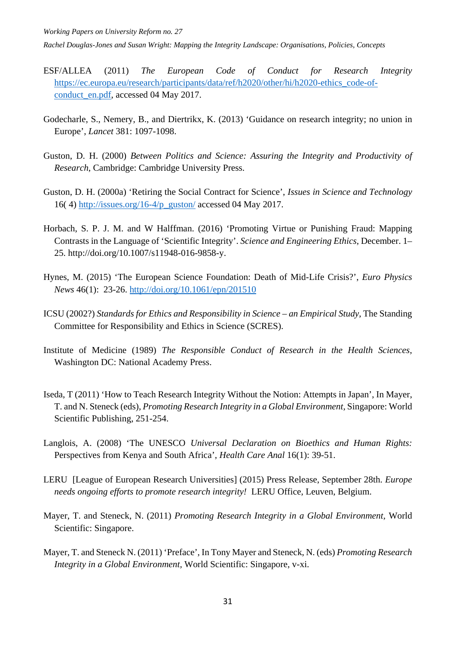*Working Papers on University Reform no. 27*

*Rachel Douglas-Jones and Susan Wright: Mapping the Integrity Landscape: Organisations, Policies, Concepts*

- ESF/ALLEA (2011) *The European Code of Conduct for Research Integrity*  [https://ec.europa.eu/research/participants/data/ref/h2020/other/hi/h2020-ethics\\_code-of](https://ec.europa.eu/research/participants/data/ref/h2020/other/hi/h2020-ethics_code-of-conduct_en.pdf)[conduct\\_en.pdf,](https://ec.europa.eu/research/participants/data/ref/h2020/other/hi/h2020-ethics_code-of-conduct_en.pdf) accessed 04 May 2017.
- Godecharle, S., Nemery, B., and Diertrikx, K. (2013) 'Guidance on research integrity; no union in Europe', *Lancet* 381: 1097-1098.
- Guston, D. H. (2000) *Between Politics and Science: Assuring the Integrity and Productivity of Research*, Cambridge: Cambridge University Press.
- Guston, D. H. (2000a) 'Retiring the Social Contract for Science', *Issues in Science and Technology* 16( 4) [http://issues.org/16-4/p\\_guston/](http://issues.org/16-4/p_guston/) accessed 04 May 2017.
- Horbach, S. P. J. M. and W Halffman. (2016) 'Promoting Virtue or Punishing Fraud: Mapping Contrasts in the Language of 'Scientific Integrity'. *Science and Engineering Ethics*, December. 1– 25. http://doi.org/10.1007/s11948-016-9858-y.
- Hynes, M. (2015) 'The European Science Foundation: Death of Mid-Life Crisis?', *Euro Physics News* 46(1): 23-26.<http://doi.org/10.1061/epn/201510>
- ICSU (2002?) *Standards for Ethics and Responsibility in Science – an Empirical Study*, The Standing Committee for Responsibility and Ethics in Science (SCRES).
- Institute of Medicine (1989) *The Responsible Conduct of Research in the Health Sciences*, Washington DC: National Academy Press.
- Iseda, T (2011) 'How to Teach Research Integrity Without the Notion: Attempts in Japan', In Mayer, T. and N. Steneck (eds), *Promoting Research Integrity in a Global Environment,* Singapore: World Scientific Publishing, 251-254.
- Langlois, A. (2008) 'The UNESCO *Universal Declaration on Bioethics and Human Rights:*  Perspectives from Kenya and South Africa', *Health Care Anal* 16(1): 39-51.
- LERU [League of European Research Universities] (2015) Press Release, September 28th. *Europe needs ongoing efforts to promote research integrity!* LERU Office, Leuven, Belgium.
- Mayer, T. and Steneck, N. (2011) *Promoting Research Integrity in a Global Environment,* World Scientific: Singapore.
- Mayer, T. and Steneck N. (2011) 'Preface', In Tony Mayer and Steneck, N. (eds) *Promoting Research Integrity in a Global Environment,* World Scientific: Singapore, v-xi.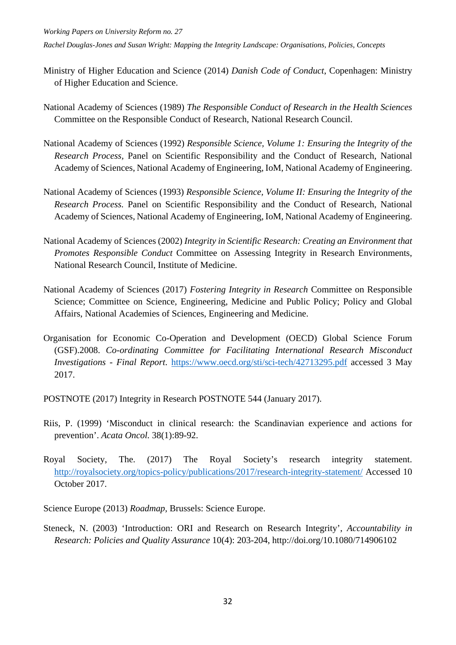- Ministry of Higher Education and Science (2014) *Danish Code of Conduct*, Copenhagen: Ministry of Higher Education and Science.
- National Academy of Sciences (1989) *The Responsible Conduct of Research in the Health Sciences*  Committee on the Responsible Conduct of Research, National Research Council.
- National Academy of Sciences (1992) *Responsible Science, Volume 1: Ensuring the Integrity of the Research Process,* Panel on Scientific Responsibility and the Conduct of Research, National Academy of Sciences, National Academy of Engineering, IoM, National Academy of Engineering.
- National Academy of Sciences (1993) *Responsible Science, Volume II: Ensuring the Integrity of the Research Process.* Panel on Scientific Responsibility and the Conduct of Research, National Academy of Sciences, National Academy of Engineering, IoM, National Academy of Engineering.
- National Academy of Sciences (2002) *Integrity in Scientific Research: Creating an Environment that Promotes Responsible Conduct* Committee on Assessing Integrity in Research Environments, National Research Council, Institute of Medicine.
- National Academy of Sciences (2017) *Fostering Integrity in Research* Committee on Responsible Science; Committee on Science, Engineering, Medicine and Public Policy; Policy and Global Affairs, National Academies of Sciences, Engineering and Medicine.
- Organisation for Economic Co-Operation and Development (OECD) Global Science Forum (GSF).2008. *Co-ordinating Committee for Facilitating International Research Misconduct Investigations - Final Report*. <https://www.oecd.org/sti/sci-tech/42713295.pdf> accessed 3 May 2017.

POSTNOTE (2017) Integrity in Research POSTNOTE 544 (January 2017).

- Riis, P. (1999) 'Misconduct in clinical research: the Scandinavian experience and actions for prevention'. *Acata Oncol.* 38(1):89-92.
- Royal Society, The. (2017) The Royal Society's research integrity statement. <http://royalsociety.org/topics-policy/publications/2017/research-integrity-statement/> Accessed 10 October 2017.
- Science Europe (2013) *Roadmap,* Brussels: Science Europe.
- Steneck, N. (2003) 'Introduction: ORI and Research on Research Integrity', *Accountability in Research: Policies and Quality Assurance* 10(4): 203-204, http://doi.org/10.1080/714906102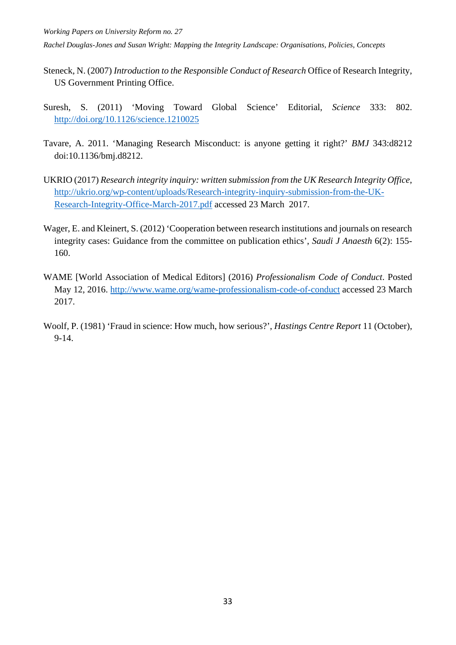- Steneck, N. (2007) *Introduction to the Responsible Conduct of Research* Office of Research Integrity, US Government Printing Office.
- Suresh, S. (2011) 'Moving Toward Global Science' Editorial, *Science* 333: 802. <http://doi.org/10.1126/science.1210025>
- Tavare, A. 2011. 'Managing Research Misconduct: is anyone getting it right?' *BMJ* 343:d8212 doi:10.1136/bmj.d8212.
- UKRIO (2017) *Research integrity inquiry: written submission from the UK Research Integrity Office*, [http://ukrio.org/wp-content/uploads/Research-integrity-inquiry-submission-from-the-UK-](http://ukrio.org/wp-content/uploads/Research-integrity-inquiry-submission-from-the-UK-Research-Integrity-Office-March-2017.pdf)[Research-Integrity-Office-March-2017.pdf](http://ukrio.org/wp-content/uploads/Research-integrity-inquiry-submission-from-the-UK-Research-Integrity-Office-March-2017.pdf) accessed 23 March 2017.
- Wager, E. and Kleinert, S. (2012) 'Cooperation between research institutions and journals on research integrity cases: Guidance from the committee on publication ethics', *Saudi J Anaesth* 6(2): 155- 160.
- WAME [World Association of Medical Editors] (2016) *Professionalism Code of Conduct*. Posted May 12, 2016.<http://www.wame.org/wame-professionalism-code-of-conduct> accessed 23 March 2017.
- Woolf, P. (1981) 'Fraud in science: How much, how serious?', *Hastings Centre Report* 11 (October), 9-14.